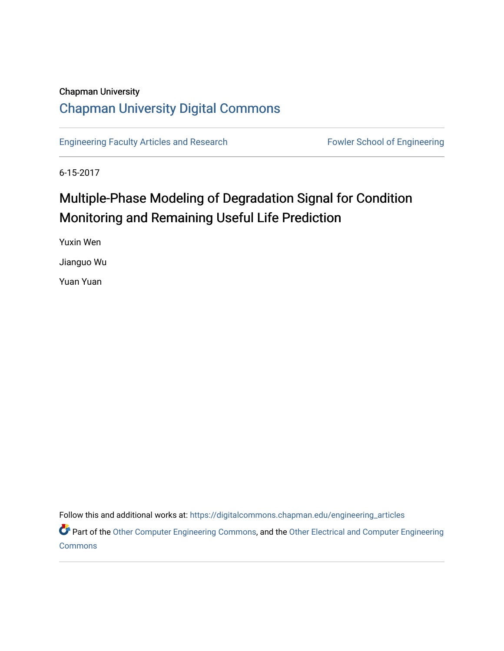## Chapman University [Chapman University Digital Commons](https://digitalcommons.chapman.edu/)

[Engineering Faculty Articles and Research](https://digitalcommons.chapman.edu/engineering_articles) Fowler School of Engineering

6-15-2017

## Multiple-Phase Modeling of Degradation Signal for Condition Monitoring and Remaining Useful Life Prediction

Yuxin Wen

Jianguo Wu

Yuan Yuan

Follow this and additional works at: [https://digitalcommons.chapman.edu/engineering\\_articles](https://digitalcommons.chapman.edu/engineering_articles?utm_source=digitalcommons.chapman.edu%2Fengineering_articles%2F136&utm_medium=PDF&utm_campaign=PDFCoverPages) 

Part of the [Other Computer Engineering Commons](http://network.bepress.com/hgg/discipline/265?utm_source=digitalcommons.chapman.edu%2Fengineering_articles%2F136&utm_medium=PDF&utm_campaign=PDFCoverPages), and the [Other Electrical and Computer Engineering](http://network.bepress.com/hgg/discipline/278?utm_source=digitalcommons.chapman.edu%2Fengineering_articles%2F136&utm_medium=PDF&utm_campaign=PDFCoverPages) **[Commons](http://network.bepress.com/hgg/discipline/278?utm_source=digitalcommons.chapman.edu%2Fengineering_articles%2F136&utm_medium=PDF&utm_campaign=PDFCoverPages)**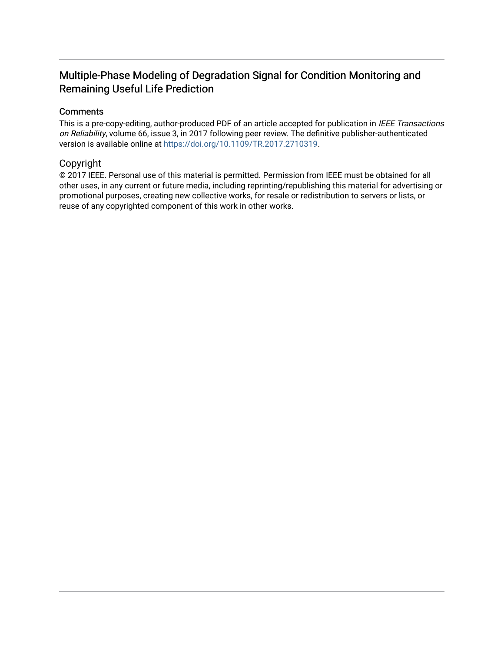## Multiple-Phase Modeling of Degradation Signal for Condition Monitoring and Remaining Useful Life Prediction

## **Comments**

This is a pre-copy-editing, author-produced PDF of an article accepted for publication in IEEE Transactions on Reliability, volume 66, issue 3, in 2017 following peer review. The definitive publisher-authenticated version is available online at <https://doi.org/10.1109/TR.2017.2710319>.

## Copyright

© 2017 IEEE. Personal use of this material is permitted. Permission from IEEE must be obtained for all other uses, in any current or future media, including reprinting/republishing this material for advertising or promotional purposes, creating new collective works, for resale or redistribution to servers or lists, or reuse of any copyrighted component of this work in other works.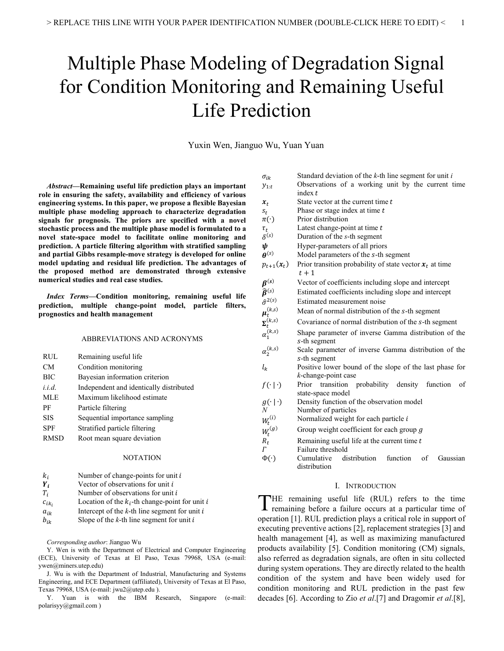# Multiple Phase Modeling of Degradation Signal for Condition Monitoring and Remaining Useful Life Prediction

Yuxin Wen, Jianguo Wu, Yuan Yuan

*Abstract***—Remaining useful life prediction plays an important role in ensuring the safety, availability and efficiency of various engineering systems. In this paper, we propose a flexible Bayesian multiple phase modeling approach to characterize degradation signals for prognosis. The priors are specified with a novel stochastic process and the multiple phase model is formulated to a novel state-space model to facilitate online monitoring and prediction. A particle filtering algorithm with stratified sampling and partial Gibbs resample-move strategy is developed for online model updating and residual life prediction. The advantages of the proposed method are demonstrated through extensive numerical studies and real case studies.** 

*Index Terms***—Condition monitoring, remaining useful life prediction, multiple change-point model, particle filters, prognostics and health management**

#### ABBREVIATIONS AND ACRONYMS

| RUL         | Remaining useful life                   |
|-------------|-----------------------------------------|
| <b>CM</b>   | Condition monitoring                    |
| <b>BIC</b>  | Bayesian information criterion          |
| i.i.d.      | Independent and identically distributed |
| <b>MLE</b>  | Maximum likelihood estimate             |
| РF          | Particle filtering                      |
| <b>SIS</b>  | Sequential importance sampling          |
| <b>SPF</b>  | Stratified particle filtering           |
| <b>RMSD</b> | Root mean square deviation              |
|             |                                         |

#### **NOTATION**

| $k_i$ | Number of change-points for unit $i$ |  |  |  |
|-------|--------------------------------------|--|--|--|
|       |                                      |  |  |  |

- $Y_i$  Vector of observations for unit i
- $T_i$  Number of observations for unit i
- $c_{ik_i}$  Location of the  $k_i$ -th change-point for unit i
- $a_{ik}$  Intercept of the *k*-th line segment for unit *i* Slope of the *k*-th line segment for unit *i*
- Slope of the *k*-th line segment for unit

*Corresponding author*: Jianguo Wu

Y. Wen is with the Department of Electrical and Computer Engineering (ECE), University of Texas at El Paso, Texas 79968, USA (e-mail: ywen@miners.utep.edu)

J. Wu is with the Department of Industrial, Manufacturing and Systems Engineering, and ECE Department (affiliated), University of Texas at El Paso, Texas 79968, USA (e-mail: jwu2@utep.edu ).

Y. Yuan is with the IBM Research, Singapore (e-mail: polarisyy@gmail.com )

| $\sigma_{ik}$                        | Standard deviation of the $k$ -th line segment for unit i    |
|--------------------------------------|--------------------------------------------------------------|
| $y_{1:t}$                            | Observations of a working unit by the current time           |
|                                      | index $t$                                                    |
| $x_{t}$                              | State vector at the current time t                           |
| $S_t$                                | Phase or stage index at time t                               |
| $\pi(\cdot)$                         | Prior distribution                                           |
| $\tau_t$                             | Latest change-point at time t                                |
| $\delta^{(s)}$                       | Duration of the s-th segment                                 |
| ψ                                    | Hyper-parameters of all priors                               |
| $\boldsymbol{\theta}^{(s)}$          | Model parameters of the s-th segment                         |
| $p_{t+1}(x_t)$                       | Prior transition probability of state vector $x_t$ at time   |
|                                      | $t+1$                                                        |
| $\beta^{(s)}$                        | Vector of coefficients including slope and intercept         |
| $\widehat{\boldsymbol{\beta}}^{(s)}$ | Estimated coefficients including slope and intercept         |
| $\hat{\sigma}^{2(s)}$                | Estimated measurement noise                                  |
| $\boldsymbol{\mu}_t^{(k,s)}$         | Mean of normal distribution of the s-th segment              |
| $\bar{\pmb{\Sigma}}_{t}^{(k,s)}$     | Covariance of normal distribution of the s-th segment        |
| $\alpha_1^{(k,s)}$                   | Shape parameter of inverse Gamma distribution of the         |
|                                      | s-th segment                                                 |
| $\alpha_2^{(k,s)}$                   | Scale parameter of inverse Gamma distribution of the         |
|                                      | s-th segment                                                 |
| $l_k$                                | Positive lower bound of the slope of the last phase for      |
|                                      | $k$ -change-point case                                       |
| $f(\cdot   \cdot)$                   | probability density<br>Prior<br>transition<br>function<br>οf |
|                                      | state-space model                                            |
| $g(\cdot   \cdot)$                   | Density function of the observation model                    |
| N                                    | Number of particles                                          |
| $W_t^{(i)}$                          | Normalized weight for each particle i                        |
| $W_t^{(g)}$                          | Group weight coefficient for each group $g$                  |
| $R_t$                                | Remaining useful life at the current time t                  |
| Г                                    | Failure threshold                                            |
| $\Phi(\cdot)$                        | distribution<br>Cumulative<br>function<br>of<br>Gaussian     |
|                                      | distribution                                                 |
|                                      |                                                              |
|                                      |                                                              |

#### I. INTRODUCTION

THE remaining useful life (RUL) refers to the time THE remaining useful life (RUL) refers to the time<br>remaining before a failure occurs at a particular time of operation [\[1\]](#page-15-0). RUL prediction plays a critical role in support of executing preventive actions [\[2\]](#page-15-1), replacement strategies [\[3\]](#page-15-2) and health management [\[4\]](#page-15-3), as well as maximizing manufactured products availability [\[5\]](#page-15-4). Condition monitoring (CM) signals, also referred as degradation signals, are often in situ collected during system operations. They are directly related to the health condition of the system and have been widely used for condition monitoring and RUL prediction in the past few decades [\[6\]](#page-15-5). According to Zio *et al*.[\[7\]](#page-15-6) and Dragomir *et al*.[\[8\]](#page-15-7),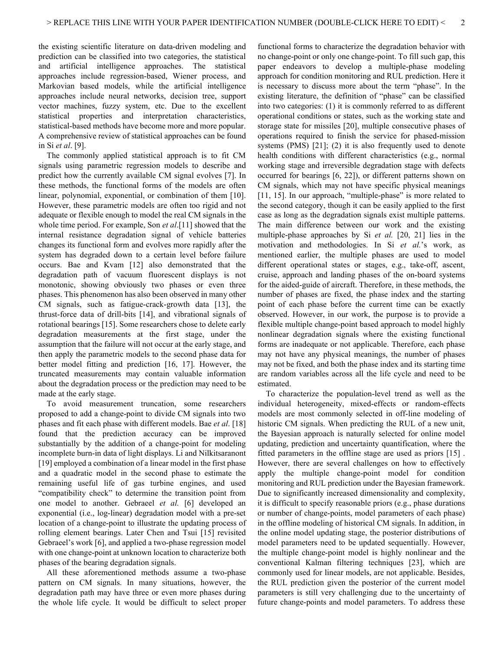the existing scientific literature on data-driven modeling and prediction can be classified into two categories, the statistical and artificial intelligence approaches. The statistical approaches include regression-based, Wiener process, and Markovian based models, while the artificial intelligence approaches include neural networks, decision tree, support vector machines, fuzzy system, etc. Due to the excellent statistical properties and interpretation characteristics, statistical-based methods have become more and more popular. A comprehensive review of statistical approaches can be found in Si *et al*. [\[9\]](#page-15-8).

The commonly applied statistical approach is to fit CM signals using parametric regression models to describe and predict how the currently available CM signal evolves [\[7\]](#page-15-6). In these methods, the functional forms of the models are often linear, polynomial, exponential, or combination of them [\[10\]](#page-15-9). However, these parametric models are often too rigid and not adequate or flexible enough to model the real CM signals in the whole time period. For example, Son *et al*.[\[11\]](#page-15-10) showed that the internal resistance degradation signal of vehicle batteries changes its functional form and evolves more rapidly after the system has degraded down to a certain level before failure occurs. Bae and Kvam [\[12\]](#page-15-11) also demonstrated that the degradation path of vacuum fluorescent displays is not monotonic, showing obviously two phases or even three phases. This phenomenon has also been observed in many other CM signals, such as fatigue-crack-growth data [\[13\]](#page-15-12), the thrust-force data of drill-bits [\[14\]](#page-15-13), and vibrational signals of rotational bearings [\[15\]](#page-15-14). Some researchers chose to delete early degradation measurements at the first stage, under the assumption that the failure will not occur at the early stage, and then apply the parametric models to the second phase data for better model fitting and prediction [\[16,](#page-15-15) [17\]](#page-15-16). However, the truncated measurements may contain valuable information about the degradation process or the prediction may need to be made at the early stage.

To avoid measurement truncation, some researchers proposed to add a change-point to divide CM signals into two phases and fit each phase with different models. Bae *et al*. [\[18\]](#page-15-17) found that the prediction accuracy can be improved substantially by the addition of a change-point for modeling incomplete burn-in data of light displays. Li and Nilkitsaranont [\[19\]](#page-15-18) employed a combination of a linear model in the first phase and a quadratic model in the second phase to estimate the remaining useful life of gas turbine engines, and used "compatibility check" to determine the transition point from one model to another. Gebraeel *et al.* [\[6\]](#page-15-5) developed an exponential (i.e., log-linear) degradation model with a pre-set location of a change-point to illustrate the updating process of rolling element bearings. Later Chen and Tsui [\[15\]](#page-15-14) revisited Gebraeel's work [\[6\]](#page-15-5), and applied a two-phase regression model with one change-point at unknown location to characterize both phases of the bearing degradation signals.

All these aforementioned methods assume a two-phase pattern on CM signals. In many situations, however, the degradation path may have three or even more phases during the whole life cycle. It would be difficult to select proper functional forms to characterize the degradation behavior with no change-point or only one change-point. To fill such gap, this paper endeavors to develop a multiple-phase modeling approach for condition monitoring and RUL prediction. Here it is necessary to discuss more about the term "phase". In the existing literature, the definition of "phase" can be classified into two categories: (1) it is commonly referred to as different operational conditions or states, such as the working state and storage state for missiles [\[20\]](#page-15-19), multiple consecutive phases of operations required to finish the service for phased-mission systems (PMS) [\[21\]](#page-15-20); (2) it is also frequently used to denote health conditions with different characteristics (e.g., normal working stage and irreversible degradation stage with defects occurred for bearings [\[6,](#page-15-5) [22\]](#page-15-21)), or different patterns shown on CM signals, which may not have specific physical meanings [\[11,](#page-15-10) [15\]](#page-15-14). In our approach, "multiple-phase" is more related to the second category, though it can be easily applied to the first case as long as the degradation signals exist multiple patterns. The main difference between our work and the existing multiple-phase approaches by Si *et al.* [\[20,](#page-15-19) [21\]](#page-15-20) lies in the motivation and methodologies. In Si *et al.*'s work, as mentioned earlier, the multiple phases are used to model different operational states or stages, e.g., take-off, ascent, cruise, approach and landing phases of the on-board systems for the aided-guide of aircraft. Therefore, in these methods, the number of phases are fixed, the phase index and the starting point of each phase before the current time can be exactly observed. However, in our work, the purpose is to provide a flexible multiple change-point based approach to model highly nonlinear degradation signals where the existing functional forms are inadequate or not applicable. Therefore, each phase may not have any physical meanings, the number of phases may not be fixed, and both the phase index and its starting time are random variables across all the life cycle and need to be estimated.

To characterize the population-level trend as well as the individual heterogeneity, mixed-effects or random-effects models are most commonly selected in off-line modeling of historic CM signals. When predicting the RUL of a new unit, the Bayesian approach is naturally selected for online model updating, prediction and uncertainty quantification, where the fitted parameters in the offline stage are used as priors [\[15\]](#page-15-14) . However, there are several challenges on how to effectively apply the multiple change-point model for condition monitoring and RUL prediction under the Bayesian framework. Due to significantly increased dimensionality and complexity, it is difficult to specify reasonable priors (e.g., phase durations or number of change-points, model parameters of each phase) in the offline modeling of historical CM signals. In addition, in the online model updating stage, the posterior distributions of model parameters need to be updated sequentially. However, the multiple change-point model is highly nonlinear and the conventional Kalman filtering techniques [\[23\]](#page-15-22), which are commonly used for linear models, are not applicable. Besides, the RUL prediction given the posterior of the current model parameters is still very challenging due to the uncertainty of future change-points and model parameters. To address these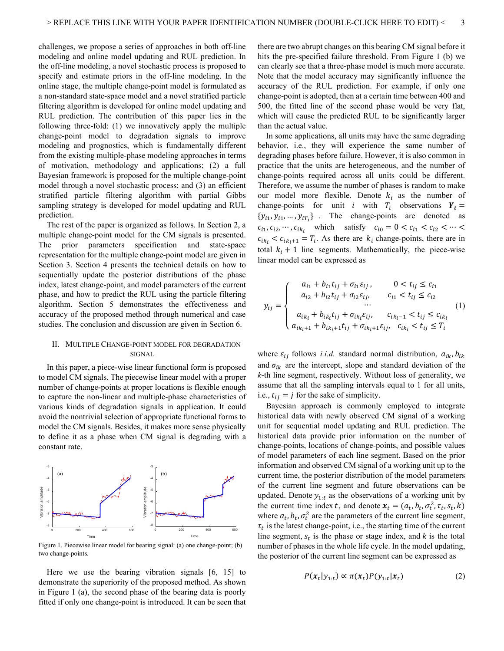challenges, we propose a series of approaches in both off-line modeling and online model updating and RUL prediction. In the off-line modeling, a novel stochastic process is proposed to specify and estimate priors in the off-line modeling. In the online stage, the multiple change-point model is formulated as a non-standard state-space model and a novel stratified particle filtering algorithm is developed for online model updating and RUL prediction. The contribution of this paper lies in the following three-fold: (1) we innovatively apply the multiple change-point model to degradation signals to improve modeling and prognostics, which is fundamentally different from the existing multiple-phase modeling approaches in terms of motivation, methodology and applications; (2) a full Bayesian framework is proposed for the multiple change-point model through a novel stochastic process; and (3) an efficient stratified particle filtering algorithm with partial Gibbs sampling strategy is developed for model updating and RUL prediction.

The rest of the paper is organized as follows. In Section 2, a multiple change-point model for the CM signals is presented. The prior parameters specification and state-space representation for the multiple change-point model are given in Section 3. Section 4 presents the technical details on how to sequentially update the posterior distributions of the phase index, latest change-point, and model parameters of the current phase, and how to predict the RUL using the particle filtering algorithm. Section 5 demonstrates the effectiveness and accuracy of the proposed method through numerical and case studies. The conclusion and discussion are given in Section 6.

#### II. MULTIPLE CHANGE-POINT MODEL FOR DEGRADATION SIGNAL

In this paper, a piece-wise linear functional form is proposed to model CM signals. The piecewise linear model with a proper number of change-points at proper locations is flexible enough to capture the non-linear and multiple-phase characteristics of various kinds of degradation signals in application. It could avoid the nontrivial selection of appropriate functional forms to model the CM signals. Besides, it makes more sense physically to define it as a phase when CM signal is degrading with a constant rate.



<span id="page-4-0"></span>Figure 1. Piecewise linear model for bearing signal: (a) one change-point; (b) two change-points.

Here we use the bearing vibration signals [\[6,](#page-15-5) [15\]](#page-15-14) to demonstrate the superiority of the proposed method. As shown in [Figure 1](#page-4-0) (a), the second phase of the bearing data is poorly fitted if only one change-point is introduced. It can be seen that there are two abrupt changes on this bearing CM signal before it hits the pre-specified failure threshold. From [Figure 1](#page-4-0) (b) we can clearly see that a three-phase model is much more accurate. Note that the model accuracy may significantly influence the accuracy of the RUL prediction. For example, if only one change-point is adopted, then at a certain time between 400 and 500, the fitted line of the second phase would be very flat, which will cause the predicted RUL to be significantly larger than the actual value.

In some applications, all units may have the same degrading behavior, i.e., they will experience the same number of degrading phases before failure. However, it is also common in practice that the units are heterogeneous, and the number of change-points required across all units could be different. Therefore, we assume the number of phases is random to make our model more flexible. Denote  $k_i$  as the number of change-points for unit *i* with  $T_i$  observations  $Y_i =$  $\{y_{i1}, y_{i1}, \ldots, y_{iT_i}\}$ . The change-points are denoted as  $c_{i1}, c_{i2}, \cdots, c_{ik_i}$  which satisfy  $c_{i0} = 0 < c_{i1} < c_{i2} < \cdots <$  $c_{ik_j} < c_{ik_j+1} = T_i$ . As there are  $k_i$  change-points, there are in total  $k_i + 1$  line segments. Mathematically, the piece-wise linear model can be expressed as

$$
y_{ij} = \begin{cases} a_{i1} + b_{i1}t_{ij} + \sigma_{i1}\varepsilon_{ij}, & 0 < t_{ij} \le c_{i1} \\ a_{i2} + b_{i2}t_{ij} + \sigma_{i2}\varepsilon_{ij}, & c_{i1} < t_{ij} \le c_{i2} \\ \dots \\ a_{ik_i} + b_{ik_i}t_{ij} + \sigma_{ik_i}\varepsilon_{ij}, & c_{ik_i-1} < t_{ij} \le c_{ik_i} \\ a_{ik_i+1} + b_{ik_i+1}t_{ij} + \sigma_{ik_i+1}\varepsilon_{ij}, & c_{ik_i} < t_{ij} \le T_i \end{cases} (1)
$$

where  $\varepsilon_{ij}$  follows *i.i.d.* standard normal distribution,  $a_{ik}$ ,  $b_{ik}$ and  $\sigma_{ik}$  are the intercept, slope and standard deviation of the *k*-th line segment, respectively. Without loss of generality, we assume that all the sampling intervals equal to 1 for all units, i.e.,  $t_{ij} = j$  for the sake of simplicity.

Bayesian approach is commonly employed to integrate historical data with newly observed CM signal of a working unit for sequential model updating and RUL prediction. The historical data provide prior information on the number of change-points, locations of change-points, and possible values of model parameters of each line segment. Based on the prior information and observed CM signal of a working unit up to the current time, the posterior distribution of the model parameters of the current line segment and future observations can be updated. Denote  $y_{1:t}$  as the observations of a working unit by the current time index t, and denote  $x_t = (a_t, b_t, \sigma_t^2, \tau_t, s_t, k)$ where  $a_t$ ,  $b_t$ ,  $\sigma_t^2$  are the parameters of the current line segment,  $\tau_t$  is the latest change-point, i.e., the starting time of the current line segment,  $s_t$  is the phase or stage index, and  $k$  is the total number of phases in the whole life cycle. In the model updating, the posterior of the current line segment can be expressed as

$$
P(\mathbf{x}_t|\mathbf{y}_{1:t}) \propto \pi(\mathbf{x}_t) P(\mathbf{y}_{1:t}|\mathbf{x}_t)
$$
 (2)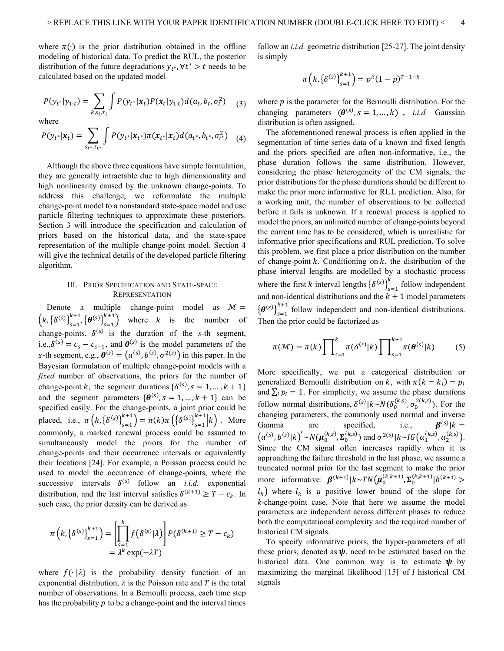where  $\pi(\cdot)$  is the prior distribution obtained in the offline modeling of historical data. To predict the RUL, the posterior distribution of the future degradations  $y_{t^*}$ ,  $\forall t^* > t$  needs to be calculated based on the updated model

$$
P(y_{t^*}|y_{1:t}) = \sum_{k,s_t,\tau_t} \int P(y_{t^*}|\mathbf{x}_t) P(\mathbf{x}_t|y_{1:t}) d(a_t, b_t, \sigma_t^2)
$$
 (3)

where

$$
P(y_{t^*}|\mathbf{x}_t) = \sum_{s_{t^*}, \tau_{t^*}} \int P(y_{t^*}|\mathbf{x}_{t^*}) \pi(\mathbf{x}_{t^*}|\mathbf{x}_t) d(a_{t^*}, b_{t^*}, \sigma_{t^*}^2) \tag{4}
$$

Although the above three equations have simple formulation, they are generally intractable due to high dimensionality and high nonlinearity caused by the unknown change-points. To address this challenge, we reformulate the multiple change-point model to a nonstandard state-space model and use particle filtering techniques to approximate these posteriors. Section 3 will introduce the specification and calculation of priors based on the historical data, and the state-space representation of the multiple change-point model. Section 4 will give the technical details of the developed particle filtering algorithm.

#### III. PRIOR SPECIFICATION AND STATE-SPACE **REPRESENTATION**

Denote a multiple change-point model as  $M =$  $(k, \{\delta^{(s)}\}_{s=1}^{n+1})$  $\left\{\boldsymbol{\theta}^{(s)}\right\}_{s=1}^{k+1}$  $\begin{pmatrix} k+1 \\ s=1 \end{pmatrix}$  where k is the number of change-points,  $\delta^{(s)}$  is the duration of the *s*-th segment, i.e., $\delta^{(s)} = c_s - c_{s-1}$ , and  $\theta^{(s)}$  is the model parameters of the s-th segment, e.g.,  $\boldsymbol{\theta}^{(s)} = (a^{(s)}, b^{(s)}, \sigma^{2(s)})$  in this paper. In the Bayesian formulation of multiple change-point models with a *fixed* number of observations, the priors for the number of change-point k, the segment durations  $\{\delta^{(s)}, s = 1, ..., k + 1\}$ and the segment parameters  $\{\boldsymbol{\theta}^{(s)}, s = 1, ..., k + 1\}$  can be specified easily. For the change-points, a joint prior could be placed, i.e.,  $\pi\left(k, \{\delta^{(s)}\}_{s=1}^{n} \right)$  $\binom{k+1}{s-1} = \pi(k)\pi\left(\left\{\delta^{(s)}\right\}_{s=1}^{k+1}\right)$  $\binom{k+1}{s=1}k$ . More commonly, a marked renewal process could be assumed to simultaneously model the priors for the number of change-points and their occurrence intervals or equivalently their locations [\[24\]](#page-15-23). For example, a Poisson process could be used to model the occurrence of change-points, where the successive intervals  $\delta^{(s)}$  follow an *i.i.d.* exponential distribution, and the last interval satisfies  $\delta^{(k+1)} \geq T - c_k$ . In such case, the prior density can be derived as

$$
\pi\left(k, \{\delta^{(s)}\}_{s=1}^{k+1}\right) = \left[\prod_{s=1}^{k} f(\delta^{(s)}|\lambda)\right] P(\delta^{(k+1)} \ge T - c_k)
$$

$$
= \lambda^k \exp(-\lambda T)
$$

where  $f(\cdot|\lambda)$  is the probability density function of an exponential distribution,  $\lambda$  is the Poisson rate and T is the total number of observations. In a Bernoulli process, each time step has the probability  $p$  to be a change-point and the interval times follow an *i.i.d.* geometric distribution [\[25-27\]](#page-15-24). The joint density is simply

$$
\pi\left(k, \left\{\delta^{(s)}\right\}_{s=1}^{k+1}\right) = p^k (1-p)^{T-1-k}
$$

where  $p$  is the parameter for the Bernoulli distribution. For the changing parameters  $(\theta^{(s)}, s = 1, ..., k)$ , *i.i.d.* Gaussian distribution is often assigned.

The aforementioned renewal process is often applied in the segmentation of time series data of a known and fixed length and the priors specified are often non-informative, i.e., the phase duration follows the same distribution. However, considering the phase heterogeneity of the CM signals, the prior distributions for the phase durations should be different to make the prior more informative for RUL prediction. Also, for a working unit, the number of observations to be collected before it fails is unknown. If a renewal process is applied to model the priors, an unlimited number of change-points beyond the current time has to be considered, which is unrealistic for informative prior specifications and RUL prediction. To solve this problem, we first place a prior distribution on the number of change-point  $k$ . Conditioning on  $k$ , the distribution of the phase interval lengths are modelled by a stochastic process where the first *k* interval lengths  $\left\{\delta^{(s)}\right\}_{s=1}^k$  follow independent and non-identical distributions and the  $k + 1$  model parameters  ${\{\theta^{(s)}\}}_{s=1}^{k+1}$  follow independent and non-identical distributions. Then the prior could be factorized as

$$
\pi(\mathcal{M}) = \pi(k) \prod_{s=1}^{k} \pi(\delta^{(s)}|k) \prod_{s=1}^{k+1} \pi(\boldsymbol{\theta}^{(s)}|k) \tag{5}
$$

More specifically, we put a categorical distribution or generalized Bernoulli distribution on k, with  $\pi(k = k_i) = p_i$ and  $\sum_i p_i = 1$ . For simplicity, we assume the phase durations follow normal distributions,  $\delta^{(s)} | k \sim N(\delta_0^{(k,s)}, \sigma_0^{2(k,s)})$ . For the changing parameters, the commonly used normal and inverse Gamma are specified, i.e.,  $\beta^{(s)}$  $\boldsymbol{\beta}^{(s)}|k=$  $(a^{(s)}, b^{(s)}|k)' \sim N(\mu_0^{(k,s)}, \Sigma_0^{(k,s)})$  and  $\sigma^{2(s)}|k \sim IG(\alpha_1^{(k,s)}, \alpha_2^{(k,s)})$ . Since the CM signal often increases rapidly when it is approaching the failure threshold in the last phase, we assume a truncated normal prior for the last segment to make the prior more informative:  $\beta^{(k+1)}|k \sim TN(\mu_0^{(k,k+1)}, \Sigma_0^{(k,k+1)}|b^{(k+1)})$  $l_k$ ) where  $l_k$  is a positive lower bound of the slope for *k*-change-point case. Note that here we assume the model parameters are independent across different phases to reduce both the computational complexity and the required number of historical CM signals.

To specify informative priors, the hyper-parameters of all these priors, denoted as  $\psi$ , need to be estimated based on the historical data. One common way is to estimate  $\boldsymbol{\psi}$  by maximizing the marginal likelihood  $[15]$  of *I* historical CM signals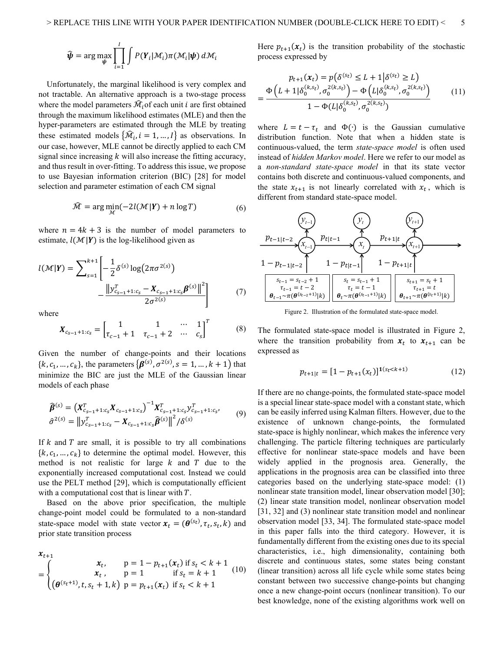$$
\widehat{\boldsymbol{\psi}} = \arg \max_{\boldsymbol{\psi}} \prod_{i=1}^{I} \int P(\boldsymbol{Y}_i | \mathcal{M}_i) \pi(\mathcal{M}_i | \boldsymbol{\psi}) d\mathcal{M}_i
$$

Unfortunately, the marginal likelihood is very complex and not tractable. An alternative approach is a two-stage process where the model parameters  $\widehat{\mathcal{M}}_i$  of each unit *i* are first obtained through the maximum likelihood estimates (MLE) and then the hyper-parameters are estimated through the MLE by treating these estimated models  $\{\widehat{\mathcal{M}}_i, i = 1, ..., I\}$  as observations. In our case, however, MLE cannot be directly applied to each CM signal since increasing  $k$  will also increase the fitting accuracy, and thus result in over-fitting. To address this issue, we propose to use Bayesian information criterion (BIC) [\[28\]](#page-15-25) for model selection and parameter estimation of each CM signal

$$
\widehat{\mathcal{M}} = \arg\min_{\mathcal{M}} (-2l(\mathcal{M}|\mathbf{Y}) + n\log T) \tag{6}
$$

where  $n = 4k + 3$  is the number of model parameters to estimate,  $l(\mathcal{M}|\mathbf{Y})$  is the log-likelihood given as

$$
l(\mathcal{M}|\mathbf{Y}) = \sum_{s=1}^{k+1} \left[ -\frac{1}{2} \delta^{(s)} \log(2\pi \sigma^{2(s)}) -\frac{\left\| y_{c_{s-1}+1:c_s}^T - X_{c_{s-1}+1:c_s} \beta^{(s)} \right\|^2}{2\sigma^{2(s)}} \right]
$$
(7)

where

$$
\boldsymbol{X}_{c_{s-1}+1:c_s} = \begin{bmatrix} 1 & 1 & \cdots & 1 \\ \tau_{c-1}+1 & \tau_{c-1}+2 & \cdots & c_s \end{bmatrix}^T \tag{8}
$$

Given the number of change-points and their locations  $\{k, c_1, ..., c_k\}$ , the parameters  $\{\boldsymbol{\beta}^{(s)}, \sigma^{2(s)}, s = 1, ..., k + 1\}$  that minimize the BIC are just the MLE of the Gaussian linear models of each phase

$$
\widehat{\boldsymbol{\beta}}^{(s)} = \left(\boldsymbol{X}_{c_{s-1}+1:c_{s}}^{T} \boldsymbol{X}_{c_{s-1}+1:c_{s}}\right)^{-1} \boldsymbol{X}_{c_{s-1}+1:c_{s}}^{T} \boldsymbol{y}_{c_{s-1}+1:c_{s}}^{T},
$$
\n
$$
\widehat{\sigma}^{2(s)} = \left\|\boldsymbol{y}_{c_{s-1}+1:c_{s}}^{T} - \boldsymbol{X}_{c_{s-1}+1:c_{s}} \widehat{\boldsymbol{\beta}}^{(s)}\right\|^{2} / \delta^{(s)} \tag{9}
$$

If  $k$  and  $T$  are small, it is possible to try all combinations  $\{k, c_1, ..., c_k\}$  to determine the optimal model. However, this method is not realistic for large  $k$  and  $T$  due to the exponentially increased computational cost. Instead we could use the PELT method [\[29\]](#page-15-26), which is computationally efficient with a computational cost that is linear with  $T$ .

Based on the above prior specification, the multiple change-point model could be formulated to a non-standard state-space model with state vector  $x_t = (\theta^{(s_t)}, \tau_t, s_t, k)$  and prior state transition process

$$
\mathbf{x}_{t+1} = \begin{cases} \n\mathbf{x}_t, & p = 1 - p_{t+1}(\mathbf{x}_t) \text{ if } s_t < k+1 \\
\mathbf{x}_t, & p = 1 \text{ if } s_t = k+1 \\
(\boldsymbol{\theta}^{(s_t+1)}, t, s_t + 1, k) & p = p_{t+1}(\mathbf{x}_t) \text{ if } s_t < k+1\n\end{cases} (10)
$$

Here  $p_{t+1}(x_t)$  is the transition probability of the stochastic process expressed by

$$
p_{t+1}(x_t) = p(\delta^{(s_t)} \le L + 1 | \delta^{(s_t)} \ge L)
$$
  
= 
$$
\frac{\Phi\left(L + 1 | \delta_0^{(k, s_t)}, \sigma_0^{2(k, s_t)}\right) - \Phi\left(L | \delta_0^{(k, s_t)}, \sigma_0^{2(k, s_t)}\right)}{1 - \Phi(L | \delta_0^{(k, s_t)}, \sigma_0^{2(k, s_t)})}
$$
(11)

where  $L = t - \tau_t$  and  $\Phi(\cdot)$  is the Gaussian cumulative distribution function. Note that when a hidden state is continuous-valued, the term *state-space model* is often used instead of *hidden Markov model*. Here we refer to our model as a *non-standard state-space model* in that its state vector contains both discrete and continuous-valued components, and the state  $x_{t+1}$  is not linearly correlated with  $x_t$ , which is different from standard state-space model.



Figure 2. Illustration of the formulated state-space model.

<span id="page-6-0"></span>The formulated state-space model is illustrated in [Figure 2,](#page-6-0) where the transition probability from  $x_t$  to  $x_{t+1}$  can be expressed as

<span id="page-6-1"></span>
$$
p_{t+1|t} = [1 - p_{t+1}(x_t)]^{1(s_t < k+1)}
$$
(12)

<span id="page-6-2"></span>If there are no change-points, the formulated state-space model is a special linear state-space model with a constant state, which can be easily inferred using Kalman filters. However, due to the existence of unknown change-points, the formulated state-space is highly nonlinear, which makes the inference very challenging. The particle filtering techniques are particularly effective for nonlinear state-space models and have been widely applied in the prognosis area. Generally, the applications in the prognosis area can be classified into three categories based on the underlying state-space model: (1) nonlinear state transition model, linear observation model [\[30\]](#page-15-27); (2) linear state transition model, nonlinear observation model [\[31,](#page-15-28) [32\]](#page-15-29) and (3) nonlinear state transition model and nonlinear observation model [\[33,](#page-15-30) [34\]](#page-15-31). The formulated state-space model in this paper falls into the third category. However, it is fundamentally different from the existing ones due to its special characteristics, i.e., high dimensionality, containing both discrete and continuous states, some states being constant (linear transition) across all life cycle while some states being constant between two successive change-points but changing once a new change-point occurs (nonlinear transition). To our best knowledge, none of the existing algorithms work well on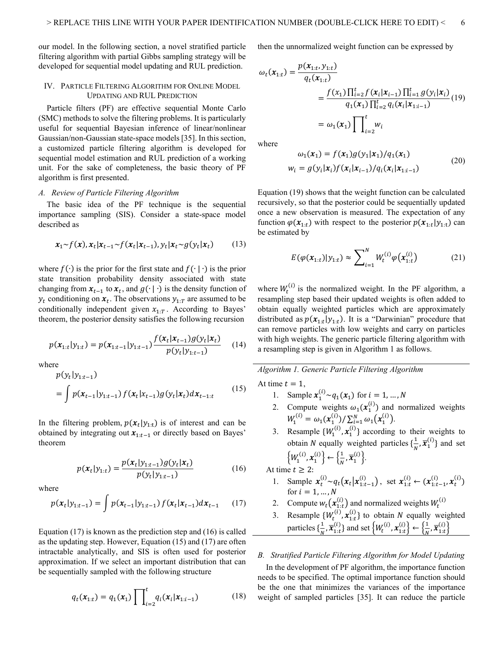our model. In the following section, a novel stratified particle filtering algorithm with partial Gibbs sampling strategy will be developed for sequential model updating and RUL prediction.

#### IV. PARTICLE FILTERING ALGORITHM FOR ONLINE MODEL UPDATING AND RUL PREDICTION

Particle filters (PF) are effective sequential Monte Carlo (SMC) methods to solve the filtering problems. It is particularly useful for sequential Bayesian inference of linear/nonlinear Gaussian/non-Gaussian state-space models [\[35\]](#page-15-32). In this section, a customized particle filtering algorithm is developed for sequential model estimation and RUL prediction of a working unit. For the sake of completeness, the basic theory of PF algorithm is first presented.

#### *A. Review of Particle Filtering Algorithm*

The basic idea of the PF technique is the sequential importance sampling (SIS). Consider a state-space model described as

$$
x_1 \sim f(x), x_t | x_{t-1} \sim f(x_t | x_{t-1}), y_t | x_t \sim g(y_t | x_t)
$$
 (13)

where  $f(\cdot)$  is the prior for the first state and  $f(\cdot | \cdot)$  is the prior state transition probability density associated with state changing from  $x_{t-1}$  to  $x_t$ , and  $g(\cdot | \cdot)$  is the density function of  $y_t$  conditioning on  $x_t$ . The observations  $y_{1:T}$  are assumed to be conditionally independent given  $x_{1:T}$ . According to Bayes' theorem, the posterior density satisfies the following recursion

$$
p(\mathbf{x}_{1:t} | y_{1:t}) = p(\mathbf{x}_{1:t-1} | y_{1:t-1}) \frac{f(\mathbf{x}_t | \mathbf{x}_{t-1}) g(y_t | \mathbf{x}_t)}{p(y_t | y_{1:t-1})}
$$
(14)

where

$$
p(y_t|y_{1:t-1})
$$
  
=  $\int p(x_{t-1}|y_{1:t-1}) f(x_t|x_{t-1}) g(y_t|x_t) dx_{t-1:t}$  (15)

In the filtering problem,  $p(x_t|y_{1:t})$  is of interest and can be obtained by integrating out  $x_{1:t-1}$  or directly based on Bayes' theorem

$$
p(\mathbf{x}_t | y_{1:t}) = \frac{p(\mathbf{x}_t | y_{1:t-1}) g(y_t | \mathbf{x}_t)}{p(y_t | y_{1:t-1})}
$$
(16)

where

$$
p(x_t|y_{1:t-1}) = \int p(x_{t-1}|y_{1:t-1}) f(x_t|x_{t-1}) dx_{t-1} \qquad (17)
$$

Equation [\(17\)](#page-7-0) is known as the prediction step and [\(16\)](#page-7-1) is called as the updating step. However, Equatio[n \(15\)](#page-7-2) and [\(17\)](#page-7-0) are often intractable analytically, and SIS is often used for posterior approximation. If we select an important distribution that can be sequentially sampled with the following structure

$$
q_t(\mathbf{x}_{1:t}) = q_1(\mathbf{x}_1) \prod_{i=2}^t q_i(\mathbf{x}_i | \mathbf{x}_{1:i-1})
$$
 (18)

then the unnormalized weight function can be expressed by

$$
\omega_t(x_{1:t}) = \frac{p(x_{1:t}, y_{1:t})}{q_t(x_{1:t})}
$$
  
= 
$$
\frac{f(x_1) \prod_{i=2}^t f(x_i | x_{i-1}) \prod_{i=1}^t g(y_i | x_i)}{q_1(x_1) \prod_{i=2}^t q_i(x_i | x_{1:i-1})}
$$
  
= 
$$
\omega_1(x_1) \prod_{i=2}^t w_i
$$

where

<span id="page-7-4"></span><span id="page-7-3"></span>
$$
\omega_1(\mathbf{x}_1) = f(\mathbf{x}_1)g(\mathbf{y}_1|\mathbf{x}_1)/q_1(\mathbf{x}_1) \n w_i = g(\mathbf{y}_i|\mathbf{x}_i)f(\mathbf{x}_i|\mathbf{x}_{i-1})/q_i(\mathbf{x}_i|\mathbf{x}_{1:i-1})
$$
\n(20)

Equation [\(19\)](#page-7-3) shows that the weight function can be calculated recursively, so that the posterior could be sequentially updated once a new observation is measured. The expectation of any function  $\varphi(x_{1:t})$  with respect to the posterior  $p(x_{1:t}|y_{1:t})$  can be estimated by

$$
E(\varphi(\pmb{x}_{1:t})|\mathbf{y}_{1:t}) \approx \sum_{i=1}^{N} W_t^{(i)} \varphi(\pmb{x}_{1:t}^{(i)})
$$
 (21)

where  $W_t^{(i)}$  is the normalized weight. In the PF algorithm, a resampling step based their updated weights is often added to obtain equally weighted particles which are approximately distributed as  $p(x_{1:t}|y_{1:t})$ . It is a "Darwinian" procedure that can remove particles with low weights and carry on particles with high weights. The generic particle filtering algorithm with a resampling step is given in Algorithm 1 as follows.

*Algorithm 1. Generic Particle Filtering Algorithm* 

<span id="page-7-2"></span>At time  $t = 1$ ,

- 1. Sample  $x_1^{(1)} \sim q_1(x_1)$  for  $i = 1, ..., N$
- 2. Compute weights  $\omega_1(x_1^{(l)})$  and normalized weights  $W_1^{(i)} = \omega_1(x_1^{(i)}) / \sum_{i=1}^N \omega_1(x_1^{(i)}).$
- 3. Resample  $\{W_1^{(i)}, x_1^{(i)}\}$  according to their weights to obtain *N* equally weighted particles  $\{\frac{1}{N}, \overline{x}_1^{(i)}\}$  and set  $\left\{W_1^{(i)}, X_1^{(i)}\right\} \leftarrow \left\{\frac{1}{N}, \overline{X}_1^{(i)}\right\}.$

<span id="page-7-1"></span>At time  $t \geq 2$ :

- 1. Sample  $x_t^{(i)} \sim q_t(x_t | x_{1:t-1}^{(i)})$ , set  $x_{1:t}^{(i)} \leftarrow (x_{1:t-1}^{(i)}, x_t^{(i)})$ for  $i = 1, ..., N$
- <span id="page-7-0"></span>2. Compute  $w_t(x_{1:t}^{(i)})$  and normalized weights  $W_t^{(i)}$
- 3. Resample  $\{W_t^{(1)}, \mathbf{x}_{1:t}^{(i)}\}$  to obtain N equally weighted particles  $\{\frac{1}{N}, \overline{x}_{1:t}^{(i)}\}$  and set  $\left\{W_t^{(i)}, x_{1:t}^{(i)}\right\} \leftarrow \left\{\frac{1}{N}, \overline{x}_{1:t}^{(i)}\right\}$

#### *B. Stratified Particle Filtering Algorithm for Model Updating*

In the development of PF algorithm, the importance function needs to be specified. The optimal importance function should be the one that minimizes the variances of the importance weight of sampled particles [\[35\]](#page-15-32). It can reduce the particle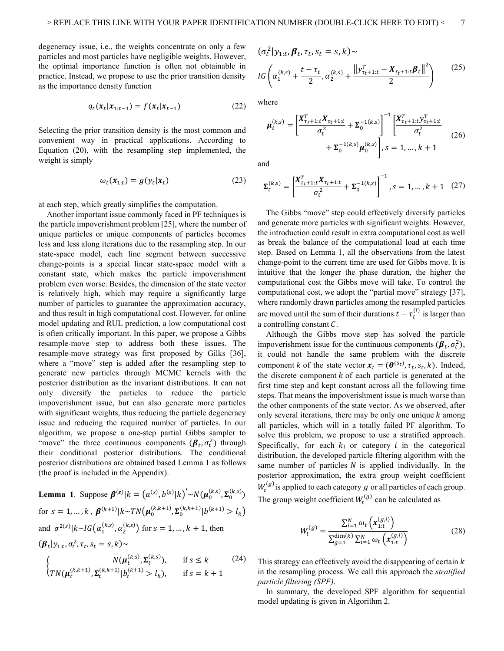degeneracy issue, i.e., the weights concentrate on only a few particles and most particles have negligible weights. However, the optimal importance function is often not obtainable in practice. Instead, we propose to use the prior transition density as the importance density function

$$
q_t(\mathbf{x}_t|\mathbf{x}_{1:t-1}) = f(\mathbf{x}_t|\mathbf{x}_{t-1})
$$
\n(22)

Selecting the prior transition density is the most common and convenient way in practical applications. According to Equation [\(20\),](#page-7-4) with the resampling step implemented, the weight is simply

$$
\omega_t(\mathbf{x}_{1:t}) = g(y_t|\mathbf{x}_t) \tag{23}
$$

at each step, which greatly simplifies the computation.

Another important issue commonly faced in PF techniques is the particle impoverishment problem [\[25\]](#page-15-24), where the number of unique particles or unique components of particles becomes less and less along iterations due to the resampling step. In our state-space model, each line segment between successive change-points is a special linear state-space model with a constant state, which makes the particle impoverishment problem even worse. Besides, the dimension of the state vector is relatively high, which may require a significantly large number of particles to guarantee the approximation accuracy, and thus result in high computational cost. However, for online model updating and RUL prediction, a low computational cost is often critically important. In this paper, we propose a Gibbs resample-move step to address both these issues. The resample-move strategy was first proposed by Gilks [\[36\]](#page-15-33), where a "move" step is added after the resampling step to generate new particles through MCMC kernels with the posterior distribution as the invariant distributions. It can not only diversify the particles to reduce the particle impoverishment issue, but can also generate more particles with significant weights, thus reducing the particle degeneracy issue and reducing the required number of particles. In our algorithm, we propose a one-step partial Gibbs sampler to "move" the three continuous components  $(\beta_t, \sigma_t^2)$  through their conditional posterior distributions. The conditional posterior distributions are obtained based Lemma 1 as follows (the proof is included in the Appendix).

**Lemma 1.** Suppose  $\beta^{(s)}|k = (a^{(s)}, b^{(s)}|k)' \sim N(\mu_0^{(k,s)}, \Sigma_0^{(k,s)})$ for  $s = 1, ..., k$ ,  $\beta^{(k+1)} | k \sim TN\left(\mu_0^{(k,k+1)}, \Sigma_0^{(k,k+1)} | b^{(k+1)} > l_k\right)$ and  $\sigma^{2(s)}|k \sim IG(\alpha_1^{(k,s)}, \alpha_2^{(k,s)})$  for  $s = 1, ..., k + 1$ , then  $(\beta_t | y_{1:t}, \sigma_t^2, \tau_t, s_t = s, k)$ ~  $(k,s)$ ,  $\Sigma_t$  $(k,s)$ ), if  $s \leq k$ (24)

$$
\begin{cases}\nN(\boldsymbol{\mu}_t^{(k,s)}, \boldsymbol{\Sigma}_t^{(k,s)}), & \text{if } s \le k \\
TN(\boldsymbol{\mu}_t^{(k,k+1)}, \boldsymbol{\Sigma}_t^{(k,k+1)} | b_t^{(k+1)} > l_k), & \text{if } s = k+1\n\end{cases} (24)
$$

$$
(\sigma_t^2 | y_{1:t}, \beta_t, \tau_t, s_t = s, k) \sim
$$
  

$$
IG\left(\alpha_1^{(k,s)} + \frac{t - \tau_t}{2}, \alpha_2^{(k,s)} + \frac{\left\|y_{\tau_t+1:t}^T - X_{\tau_t+1:t}\beta_t\right\|^2}{2}\right)
$$
 (25)

where

<span id="page-8-3"></span>
$$
\mu_t^{(k,s)} = \left[ \frac{X_{\tau_t+1:t}^T X_{\tau_t+1:t}}{\sigma_t^2} + \Sigma_0^{-1(k,s)} \right]^{-1} \left[ \frac{X_{\tau_t+1:t}^T y_{\tau_t+1:t}^T}{\sigma_t^2} + \Sigma_0^{-1(k,s)} \mu_0^{(k,s)} \right], s = 1, ..., k+1
$$
\n(26)

<span id="page-8-0"></span>and

$$
\Sigma_t^{(k,s)} = \left[\frac{X_{\tau_t+1:t}^T X_{\tau_t+1:t}}{\sigma_t^2} + \Sigma_0^{-1(k,s)}\right]^{-1}, s = 1, ..., k+1 \quad (27)
$$

The Gibbs "move" step could effectively diversify particles and generate more particles with significant weights. However, the introduction could result in extra computational cost as well as break the balance of the computational load at each time step. Based on Lemma 1, all the observations from the latest change-point to the current time are used for Gibbs move. It is intuitive that the longer the phase duration, the higher the computational cost the Gibbs move will take. To control the computational cost, we adopt the "partial move" strategy [\[37\]](#page-15-34), where randomly drawn particles among the resampled particles are moved until the sum of their durations  $t - \tau_t^{(t)}$  is larger than a controlling constant  $C$ .

Although the Gibbs move step has solved the particle impoverishment issue for the continuous components  $(\beta_t, \sigma_t^2)$ , it could not handle the same problem with the discrete component *k* of the state vector  $x_t = (\theta^{(s_t)}, \tau_t, s_t, k)$ . Indeed, the discrete component  $k$  of each particle is generated at the first time step and kept constant across all the following time steps. That means the impoverishment issue is much worse than the other components of the state vector. As we observed, after only several iterations, there may be only one unique  $k$  among all particles, which will in a totally failed PF algorithm. To solve this problem, we propose to use a stratified approach. Specifically, for each  $k_i$  or category *i* in the categorical distribution, the developed particle filtering algorithm with the same number of particles  $N$  is applied individually. In the posterior approximation, the extra group weight coefficient  $W_t^{(g)}$  is applied to each category g or all particles of each group. The group weight coefficient  $W_t^{(g)}$  can be calculated as

<span id="page-8-1"></span>
$$
W_t^{(g)} = \frac{\sum_{i=1}^{N} \omega_t \left( \mathbf{x}_{1:t}^{(g,i)} \right)}{\sum_{g=1}^{\dim(k)} \sum_{i=1}^{N} \omega_t \left( \mathbf{x}_{1:t}^{(g,i)} \right)}
$$
(28)

<span id="page-8-2"></span>This strategy can effectively avoid the disappearing of certain  $k$ in the resampling process. We call this approach the *stratified particle filtering (SPF)*.

In summary, the developed SPF algorithm for sequential model updating is given in Algorithm 2.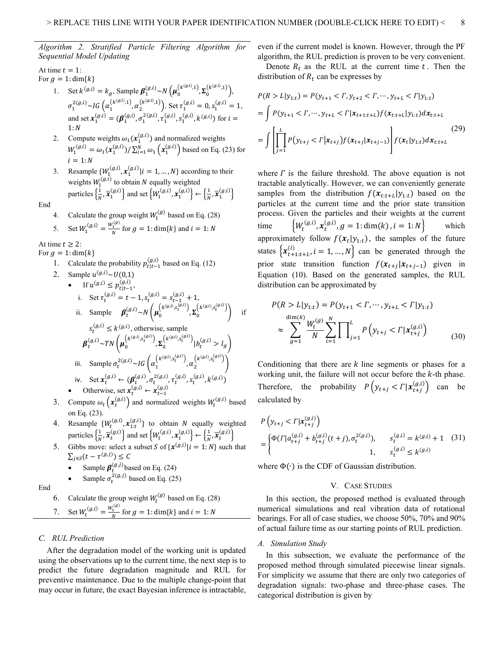*Algorithm 2. Stratified Particle Filtering Algorithm for Sequential Model Updating*

At time  $t = 1$ : For  $a = 1$ : dim{k}

1. Set 
$$
k^{(g,i)} = k_g
$$
, Sample  $\beta_1^{(g,i)} \sim N(\mu_0^{(k^{(g,i)},1)}, \Sigma_0^{(k^{(g,i)},1)}),$   
\n $\sigma_1^{2(g,i)} \sim IG(\alpha_1^{(k^{(g,i)},1)}, \alpha_2^{(k^{(g,i)},1)}).$  Set  $\tau_1^{(g,i)} = 0, s_1^{(g,i)} = 1,$   
\nand set  $\mathbf{x}_1^{(g,i)} = (\beta_1^{(g,i)}, \sigma_1^{2(g,i)}, \tau_1^{(g,i)}, s_1^{(g,i)}, k^{(g,i)})$  for  $i = 1:N$ 

- 2. Compute weights  $\omega_1(\mathbf{x}_1^{(g,\iota)})$  and normalized weights  $W_1^{(g,i)} = \omega_1(x_1^{(g,i)}) / \sum_{i=1}^{N} \omega_1(x_1^{(g,i)})$  based on Eq[. \(23\)](#page-8-0) for  $i = 1:N$
- 3. Resample  $\{W_1^{(g,i)}, x_1^{(g,i)} | i = 1, ..., N\}$  according to their weights  $W_1^{(g,i)}$  to obtain N equally weighted particles  $\left\{\frac{1}{N}, \overline{x}_1^{(g,i)}\right\}$  and set  $\left\{W_1^{(g,i)}, x_1^{(g,i)}\right\} \leftarrow \left\{\frac{1}{N}, \overline{x}_1^{(g,i)}\right\}$
- 4. Calculate the group weight  $W_1^{(g)}$  based on Eq[. \(28\)](#page-8-1)

5. Set 
$$
W_1^{(g,i)} = \frac{W_1^{(g)}}{N}
$$
 for  $g = 1$ : dim{k} and  $i = 1$ : N

At time  $t \geq 2$ :

End

- For  $g = 1$ : dim{ $k$ }
	- 1. Calculate the probability  $p_{t|t-1}^{(g,i)}$  based on Eq[. \(12\)](#page-6-1)
	- 2. Sample  $u^{(g,i)} \sim U(0,1)$

\n- \n
$$
\text{If } u(g,i) \leq p_{t|t-1}^{(g,i)},
$$
\n i. Set  $\tau_t^{(g,i)} = t - 1, s_t^{(g,i)} = s_{t-1}^{(g,i)} + 1,$ \n ii. Sample\n  $\beta_t^{(g,i)} \sim N\left(\mu_0^{\left(k_{g,i\right)}, s_t^{(g,i)}\right)}, \Sigma_0^{\left(k_{g,i\right)}, s_t^{(g,i)}\right)$ \n if\n  $s_t^{(g,i)} \leq k(g,i)$ , otherwise, sample\n  $\beta_t^{(g,i)} \sim TN\left(\mu_0^{\left(k_{g,i\right)}, s_t^{(g,i)}\right)}, \Sigma_0^{\left(k_{g,i\right)}, s_t^{(g,i)}\right) | b_t^{(g,i)} > l_g$ \n
\n- \n iii. Sample  $\sigma_t^{2(g,i)} \sim IG\left(\alpha_1^{\left(k_{g,i\right)}, s_t^{(g,i)}\right)}, \alpha_2^{\left(k_{g,i\right)}, s_t^{(g,i)}\right)$ \n
\n- \n iv. Set  $\mathbf{x}_t^{(g,i)} \leftarrow (\beta_t^{(g,i)}, \sigma_t^{2(g,i)}, \tau_t^{(g,i)}, s_t^{(g,i)}, k_{(g,i)})$ \n
\n- \n Otherwise, set  $\mathbf{x}_t^{(g,i)} \leftarrow \mathbf{x}_{t-1}^{(g,i)}$ \n
\n

- 3. Compute  $\omega_t\left(x_t^{(g,i)}\right)$  and normalized weights  $W_t^{(g,i)}$  based on Eq[. \(23\).](#page-8-0)
- 4. Resample  $\{W_t^{(g,i)}, \mathbf{x}_{1:t}^{(g,i)}\}$  to obtain N equally weighted particles  $\left\{\frac{1}{N}, \overline{x}_t^{(g,i)}\right\}$  and set  $\left\{W_t^{(g,i)}, x_t^{(g,i)}\right\} \leftarrow \left\{\frac{1}{N}, \overline{x}_t^{(g,i)}\right\}$
- 5. Gibbs move: select a subset S of  $\{x^{(g,i)} | i = 1:N\}$  such that  $\sum_{j\in S} (t-\tau^{(g,j)}) \leq C$ 
	- Sample  $\beta_t^{(g,j)}$  based on Eq[. \(24\)](#page-8-2)
	- Sample  $\sigma_t^{2(g,j)}$  based on Eq[. \(25\)](#page-8-3)

End

6. Calculate the group weight  $W_t^{(g)}$  based on Eq. (28) 7. Set  $W_t^{(g,i)} = \frac{W_t^{(g)}}{N}$  for  $g = 1$ : dim{k} and  $i = 1:N$ 

#### *C. RUL Prediction*

After the degradation model of the working unit is updated using the observations up to the current time, the next step is to predict the future degradation magnitude and RUL for preventive maintenance. Due to the multiple change-point that may occur in future, the exact Bayesian inference is intractable, even if the current model is known. However, through the PF algorithm, the RUL prediction is proven to be very convenient. Denote  $R_t$  as the RUL at the current time  $t$ . Then the

distribution of  $R_t$  can be expresses by

$$
P(R > L|y_{1:t}) = P(y_{t+1} < T, y_{t+2} < T, \cdots, y_{t+L} < T|y_{1:t})
$$
  
= 
$$
\int P(y_{t+1} < T, \cdots, y_{t+L} < T | x_{t+1:t+L}) f(x_{t:t+L} | y_{1:t}) dx_{t:t+L}
$$
  
= 
$$
\int \left[ \prod_{j=1}^{L} P(y_{t+j} < T | x_{t+j}) f(x_{t+j} | x_{t+j-1}) \right] f(x_t | y_{1:t}) dx_{t:t+L}
$$
 (29)

where  $\Gamma$  is the failure threshold. The above equation is not tractable analytically. However, we can conveniently generate samples from the distribution  $f(x_{t:t+L}|y_{1:t})$  based on the particles at the current time and the prior state transition process. Given the particles and their weights at the current time  $\{W_t^{(g,t)}, x_t^{(g,t)}, g = 1: \dim(k), t = 1:N\}$  which approximately follow  $f(x_t|y_{1:t})$ , the samples of the future states  $\{x_{t+1:t+L}^{(i)}, i = 1, ..., N\}$  can be generated through the prior state transition function  $f(x_{t+i}|x_{t+i-1})$  given in Equation [\(10\).](#page-6-2) Based on the generated samples, the RUL distribution can be approximated by

$$
P(R > L | y_{1:t}) = P(y_{t+1} < \Gamma, \cdots, y_{t+L} < \Gamma | y_{1:t})
$$
  
\n
$$
\approx \sum_{g=1}^{\dim(k)} \frac{W_t^{(g)}}{N} \sum_{i=1}^N \prod_{j=1}^L P(y_{t+j} < \Gamma | x_{t+j}^{(g,i)})
$$
(30)

Conditioning that there are  $k$  line segments or phases for a working unit, the failure will not occur before the  $k$ -th phase. Therefore, the probability  $P(y_{t+j} < \Gamma | x_{t+j}^{(g,i)})$  can be calculated by

$$
P(y_{t+j} < \Gamma | \mathbf{x}_{t+j}^{(g,i)})
$$
\n
$$
= \begin{cases} \Phi(\Gamma | a_{t+j}^{(g,i)} + b_{t+j}^{(g,i)}(t+j), \sigma_t^{2(g,i)}) & s_t^{(g,i)} = k^{(g,i)} + 1 \quad (31) \\ 1 & s_t^{(g,i)} \le k^{(g,i)} \end{cases}
$$

where  $\Phi(\cdot)$  is the CDF of Gaussian distribution.

#### V. CASE STUDIES

In this section, the proposed method is evaluated through numerical simulations and real vibration data of rotational bearings. For all of case studies, we choose 50%, 70% and 90% of actual failure time as our starting points of RUL prediction.

#### *A. Simulation Study*

In this subsection, we evaluate the performance of the proposed method through simulated piecewise linear signals. For simplicity we assume that there are only two categories of degradation signals: two-phase and three-phase cases. The categorical distribution is given by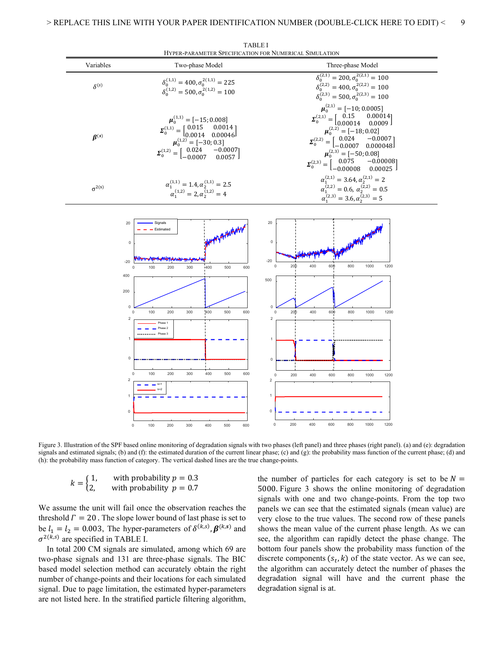<span id="page-10-0"></span>

| HYPER-PARAMETER SPECIFICATION FOR NUMERICAL SIMULATION                                                                                                                                       |                                                                                                                                                                                                                                                 |                                                                                                                                                                                                                                                                                                                                                                                                                                                                                                          |  |  |  |  |  |
|----------------------------------------------------------------------------------------------------------------------------------------------------------------------------------------------|-------------------------------------------------------------------------------------------------------------------------------------------------------------------------------------------------------------------------------------------------|----------------------------------------------------------------------------------------------------------------------------------------------------------------------------------------------------------------------------------------------------------------------------------------------------------------------------------------------------------------------------------------------------------------------------------------------------------------------------------------------------------|--|--|--|--|--|
| Variables                                                                                                                                                                                    | Two-phase Model                                                                                                                                                                                                                                 | Three-phase Model                                                                                                                                                                                                                                                                                                                                                                                                                                                                                        |  |  |  |  |  |
| $\delta^{(s)}$                                                                                                                                                                               | $\delta_0^{(1,1)} = 400, \sigma_0^{2(1,1)} = 225$<br>$\delta_0^{(1,2)} = 500, \sigma_0^{2(1,2)} = 100$                                                                                                                                          | $\delta_0^{(2,1)} = 200, \sigma_0^{2(2,1)} = 100$<br>$\delta_0^{(2,2)} = 400, \sigma_0^{2(2,2)} = 100$<br>$\delta_0^{(2,3)} = 500, \sigma_0^{2(2,3)} = 100$                                                                                                                                                                                                                                                                                                                                              |  |  |  |  |  |
| $\pmb{\beta}^{(s)}$                                                                                                                                                                          | $\boldsymbol{\mu}_0^{(1,1)} = [-15; 0.008] \\ \boldsymbol{\Sigma}_0^{(1,1)} = \begin{bmatrix} 0.015 & 0.0014 \\ 0.0014 & 0.00046 \end{bmatrix}$<br>$\mathbf{z}_{0}^{(1,2)} = \begin{bmatrix} 0.024 & -0.0007 \\ -0.0007 & 0.0057 \end{bmatrix}$ | $\label{eq:mu0} \begin{array}{c} \pmb{\mu}^{(2,1)}_0 = [-10;0.0005] \\ \pmb{\Sigma}^{(2,1)}_0 = \begin{bmatrix} 0.15 & 0.00014 \\ 0.00014 & 0.0009 \end{bmatrix} \end{array}$<br>$\mathbf{z}_{0}^{(2,2)} = \begin{bmatrix} 0.00014 & 0.0007 \\ -0.024 & -0.0007 \\ 0.0007 & 0.000048 \end{bmatrix}$<br>$\mathbf{z}_{0}^{(2,3)} = \begin{bmatrix} 0.024 & -0.0007 \\ -0.0007 & 0.000048 \end{bmatrix}$<br>$\mathbf{z}_{0}^{(2,3)} = \begin{bmatrix} 0.075 & -0.00008 \\ -0.00008 & 0.00025 \end{bmatrix}$ |  |  |  |  |  |
| $\sigma^{2(s)}$                                                                                                                                                                              | $\alpha_1^{(1,1)} = 1.4, \alpha_2^{(1,1)} = 2.5$<br>$\alpha_1^{(1,2)} = 2, \alpha_2^{(1,2)} = 4$                                                                                                                                                | $\begin{array}{l} \alpha_1^{(2,1)}=3.64, \alpha_2^{(2,1)}=2\\ \alpha_1^{(2,2)}=0.6, \, \alpha_2^{(2,2)}=0.5\\ \alpha_1^{(2,3)}=3.6, \alpha_2^{(2,3)}=5 \end{array}$                                                                                                                                                                                                                                                                                                                                      |  |  |  |  |  |
| 20<br>$\mathbf 0$<br>$-20$<br>0<br>400<br>200<br>$\mathbb O$<br>0<br>$\overline{2}$<br>$\overline{1}$<br>$\mathbf 0$<br>$\mathsf 0$<br>$\mathbf{z}$<br>$\overline{1}$<br>$\mathsf{O}\xspace$ | Signals<br>- Estimated<br>Wanpangantwahatv<br>100<br>200<br>300<br>i400<br>500<br>600<br>100<br>200<br>300<br>400<br>500<br>600<br>Phase 1<br>Phase 2<br>100<br>200<br>300<br>400<br>500<br>600<br>$-$ k=1                                      | 20<br>$\mathbb O$<br>$-20$<br>$\mathbf 0$<br>200<br>400<br>1000<br>600<br>800<br>1200<br>500<br>$\mathsf 0$<br>400<br>$\mathsf 0$<br>20 <sub>p</sub><br>600<br>800<br>1000<br>1200<br>$\boldsymbol{2}$<br>$\mathbf{1}$<br>$\bf 0$<br>$\mathbf 0$<br>200<br>400<br>600<br>1200<br>800<br>1000<br>$\sqrt{2}$<br>$\mathbf{1}$<br>$\mathsf{0}$                                                                                                                                                               |  |  |  |  |  |

TABLE I

<span id="page-10-1"></span>Figure 3. Illustration of the SPF based online monitoring of degradation signals with two phases (left panel) and three phases (right panel). (a) and (e): degradation signals and estimated signals; (b) and (f): the estimated duration of the current linear phase; (c) and (g): the probability mass function of the current phase; (d) and (h): the probability mass function of category. The vertical dashed lines are the true change-points.

0 100 200 300 400 500 600

$$
k = \begin{cases} 1, & \text{with probability } p = 0.3\\ 2, & \text{with probability } p = 0.7 \end{cases}
$$

We assume the unit will fail once the observation reaches the threshold  $\Gamma = 20$ . The slope lower bound of last phase is set to be  $l_1 = l_2 = 0.003$ , The hyper-parameters of  $\delta^{(k,s)}$ ,  $\beta^{(k,s)}$  and  $\sigma^{2(k,s)}$  are specified in [TABLE I.](#page-10-0)

In total 200 CM signals are simulated, among which 69 are two-phase signals and 131 are three-phase signals. The BIC based model selection method can accurately obtain the right number of change-points and their locations for each simulated signal. Due to page limitation, the estimated hyper-parameters are not listed here. In the stratified particle filtering algorithm,

the number of particles for each category is set to be  $N =$ 5000. [Figure 3](#page-10-1) shows the online monitoring of degradation signals with one and two change-points. From the top two panels we can see that the estimated signals (mean value) are very close to the true values. The second row of these panels shows the mean value of the current phase length. As we can see, the algorithm can rapidly detect the phase change. The bottom four panels show the probability mass function of the discrete components  $(s_t, k)$  of the state vector. As we can see, the algorithm can accurately detect the number of phases the degradation signal will have and the current phase the degradation signal is at.

0 200 400 600 800 1000 1200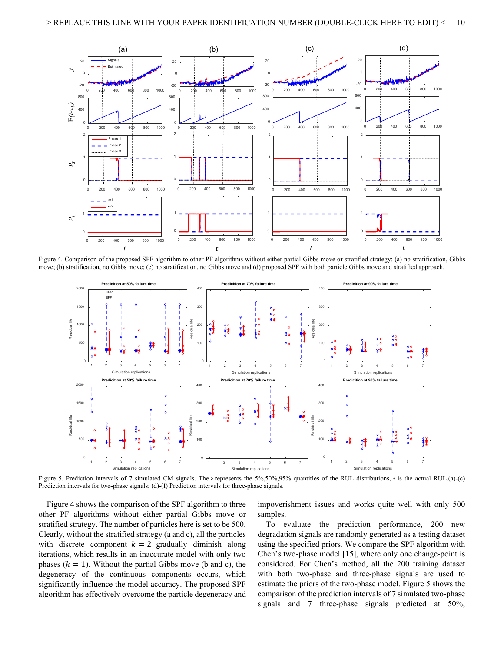

<span id="page-11-0"></span>Figure 4. Comparison of the proposed SPF algorithm to other PF algorithms without either partial Gibbs move or stratified strategy: (a) no stratification, Gibbs move; (b) stratification, no Gibbs move; (c) no stratification, no Gibbs move and (d) proposed SPF with both particle Gibbs move and stratified approach.



<span id="page-11-1"></span>Figure 5. Prediction intervals of 7 simulated CM signals. The ∘ represents the 5%,50%,95% quantitles of the RUL distributions, ∗ is the actual RUL.(a)-(c) Prediction intervals for two-phase signals; (d)-(f) Prediction intervals for three-phase signals.

[Figure 4](#page-11-0) shows the comparison of the SPF algorithm to three other PF algorithms without either partial Gibbs move or stratified strategy. The number of particles here is set to be 500. Clearly, without the stratified strategy (a and c), all the particles with discrete component  $k = 2$  gradually diminish along iterations, which results in an inaccurate model with only two phases  $(k = 1)$ . Without the partial Gibbs move (b and c), the degeneracy of the continuous components occurs, which significantly influence the model accuracy. The proposed SPF algorithm has effectively overcome the particle degeneracy and

impoverishment issues and works quite well with only 500 samples.

To evaluate the prediction performance, 200 new degradation signals are randomly generated as a testing dataset using the specified priors. We compare the SPF algorithm with Chen's two-phase model [\[15\]](#page-15-14), where only one change-point is considered. For Chen's method, all the 200 training dataset with both two-phase and three-phase signals are used to estimate the priors of the two-phase model. [Figure 5](#page-11-1) shows the comparison of the prediction intervals of 7 simulated two-phase signals and 7 three-phase signals predicted at 50%,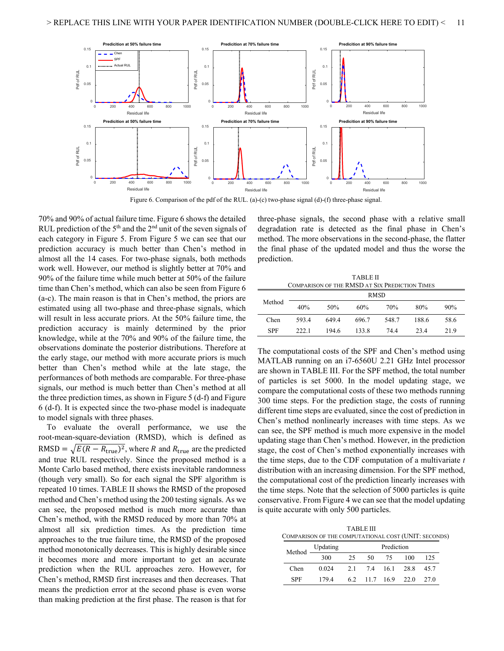

Figure 6. Comparison of the pdf of the RUL. (a)-(c) two-phase signal (d)-(f) three-phase signal.

<span id="page-12-0"></span>70% and 90% of actual failure time[. Figure 6](#page-12-0) shows the detailed RUL prediction of the  $5<sup>th</sup>$  and the  $2<sup>nd</sup>$  unit of the seven signals of each category in [Figure 5.](#page-11-1) From [Figure 5](#page-11-1) we can see that our prediction accuracy is much better than Chen's method in almost all the 14 cases. For two-phase signals, both methods work well. However, our method is slightly better at 70% and 90% of the failure time while much better at 50% of the failure time than Chen's method, which can also be seen fro[m Figure 6](#page-12-0) (a-c). The main reason is that in Chen's method, the priors are estimated using all two-phase and three-phase signals, which will result in less accurate priors. At the 50% failure time, the prediction accuracy is mainly determined by the prior knowledge, while at the 70% and 90% of the failure time, the observations dominate the posterior distributions. Therefore at the early stage, our method with more accurate priors is much better than Chen's method while at the late stage, the performances of both methods are comparable. For three-phase signals, our method is much better than Chen's method at all the three prediction times, as shown i[n Figure 5](#page-11-1) (d-f) an[d Figure](#page-12-0)  [6](#page-12-0) (d-f). It is expected since the two-phase model is inadequate to model signals with three phases.

To evaluate the overall performance, we use the root-mean-square-deviation (RMSD), which is defined as RMSD =  $\sqrt{E(R - R_{true})^2}$ , where R and  $R_{true}$  are the predicted and true RUL respectively. Since the proposed method is a Monte Carlo based method, there exists inevitable randomness (though very small). So for each signal the SPF algorithm is repeated 10 times. [TABLE II](#page-12-1) shows the RMSD of the proposed method and Chen's method using the 200 testing signals. As we can see, the proposed method is much more accurate than Chen's method, with the RMSD reduced by more than 70% at almost all six prediction times. As the prediction time approaches to the true failure time, the RMSD of the proposed method monotonically decreases. This is highly desirable since it becomes more and more important to get an accurate prediction when the RUL approaches zero. However, for Chen's method, RMSD first increases and then decreases. That means the prediction error at the second phase is even worse than making prediction at the first phase. The reason is that for three-phase signals, the second phase with a relative small degradation rate is detected as the final phase in Chen's method. The more observations in the second-phase, the flatter the final phase of the updated model and thus the worse the prediction.

<span id="page-12-1"></span>

| <b>TABLE II</b><br>COMPARISON OF THE RMSD AT SIX PREDICTION TIMES |       |       |       |       |       |      |
|-------------------------------------------------------------------|-------|-------|-------|-------|-------|------|
|                                                                   | RMSD  |       |       |       |       |      |
| Method                                                            | 40%   | 50%   | 60%   | 70%   | 80%   | 90%  |
| Chen                                                              | 593.4 | 649.4 | 696.7 | 548.7 | 188.6 | 58.6 |
| <b>SPF</b>                                                        | 222.1 | 194.6 | 133.8 | 74.4  | 23.4  | 21.9 |

The computational costs of the SPF and Chen's method using MATLAB running on an i7-6560U 2.21 GHz Intel processor are shown in [TABLE III.](#page-12-2) For the SPF method, the total number of particles is set 5000. In the model updating stage, we compare the computational costs of these two methods running 300 time steps. For the prediction stage, the costs of running different time steps are evaluated, since the cost of prediction in Chen's method nonlinearly increases with time steps. As we can see, the SPF method is much more expensive in the model updating stage than Chen's method. However, in the prediction stage, the cost of Chen's method exponentially increases with the time steps, due to the CDF computation of a multivariate *t* distribution with an increasing dimension. For the SPF method, the computational cost of the prediction linearly increases with the time steps. Note that the selection of 5000 particles is quite conservative. Fro[m Figure 4](#page-11-0) we can see that the model updating is quite accurate with only 500 particles.

<span id="page-12-2"></span>TABLE III COMPARISON OF THE COMPUTATIONAL COST (UNIT: SECONDS)

|            | Method Updating | Prediction |    |    |                         |     |
|------------|-----------------|------------|----|----|-------------------------|-----|
|            | 300             | 25         | 50 | 75 | 100                     | 125 |
| Chen       | 0.024           |            |    |    | 2.1 7.4 16.1 28.8 45.7  |     |
| <b>SPF</b> | 179.4           |            |    |    | 6.2 11.7 16.9 22.0 27.0 |     |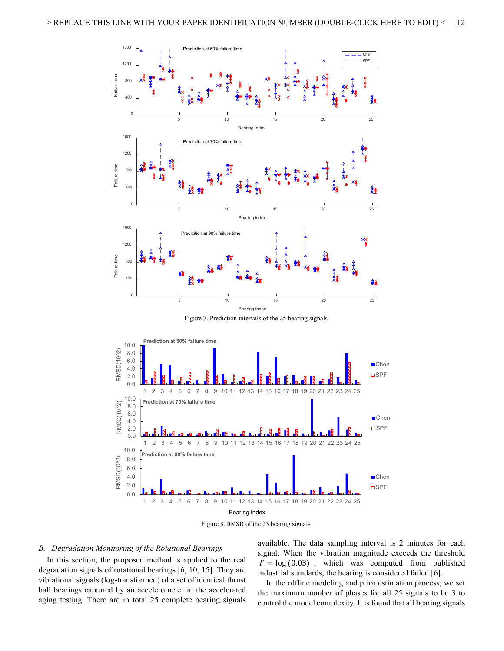

<span id="page-13-0"></span>

Figure 8. RMSD of the 25 bearing signals

#### <span id="page-13-1"></span>*B. Degradation Monitoring of the Rotational Bearings*

In this section, the proposed method is applied to the real degradation signals of rotational bearings [\[6,](#page-15-5) [10,](#page-15-9) [15\]](#page-15-14). They are vibrational signals (log-transformed) of a set of identical thrust ball bearings captured by an accelerometer in the accelerated aging testing. There are in total 25 complete bearing signals available. The data sampling interval is 2 minutes for each signal. When the vibration magnitude exceeds the threshold  $\Gamma = \log (0.03)$ , which was computed from published industrial standards, the bearing is considered failed [\[6\]](#page-15-5).

In the offline modeling and prior estimation process, we set the maximum number of phases for all 25 signals to be 3 to control the model complexity. It is found that all bearing signals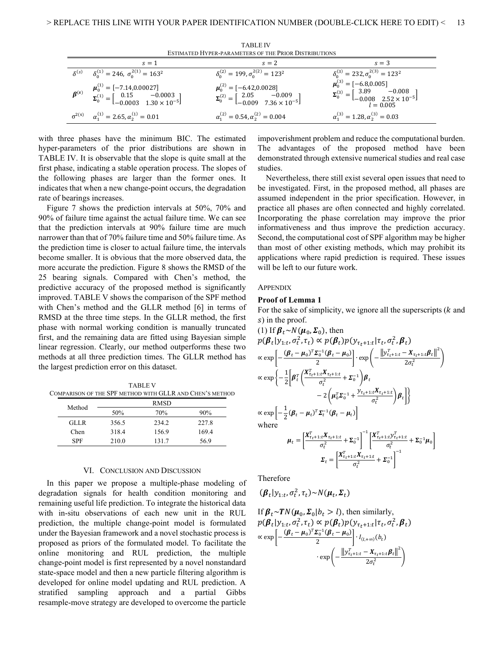<span id="page-14-0"></span>

|                | 17311111<br><b>ESTIMATED HYPER-PARAMETERS OF THE PRIOR DISTRIBUTIONS</b>                                                                                                                                                        |                                                                                                                                   |                                                                                                                                                |  |  |  |  |  |
|----------------|---------------------------------------------------------------------------------------------------------------------------------------------------------------------------------------------------------------------------------|-----------------------------------------------------------------------------------------------------------------------------------|------------------------------------------------------------------------------------------------------------------------------------------------|--|--|--|--|--|
|                | $s = 3$<br>$s=1$<br>$s = 2$                                                                                                                                                                                                     |                                                                                                                                   |                                                                                                                                                |  |  |  |  |  |
| $\delta^{(s)}$ | $\delta_0^{(1)} = 246$ , $\sigma_0^{2(1)} = 163^2$                                                                                                                                                                              | $\delta_0^{(2)} = 199$ , $\sigma_0^{2(2)} = 123^2$                                                                                | $\delta_0^{(3)} = 232, \sigma_0^{2(3)} = 123^2$                                                                                                |  |  |  |  |  |
|                | $\pmb{\beta}^{(s)} \quad \begin{array}{l} \pmb{\mu}^{(1)}_0 = \begin{bmatrix} -7.14, 0.00027 \end{bmatrix} \\ \pmb{\Sigma}^{(1)}_0 = \begin{bmatrix} 0.15 & -0.0003 \\ -0.0003 & 1.30 \times 10^{-5} \end{bmatrix} \end{array}$ | $\mu_0^{(2)} = [-6.42, 0.0028]$<br>$\Sigma_0^{(2)} = \begin{bmatrix} 2.05 & -0.009 \\ -0.009 & 7.36 \times 10^{-5} \end{bmatrix}$ | $\mu_0^{(3)} = [-6.8, 0.005]$<br>$\Sigma_0^{(3)} = \begin{bmatrix} 3.89 & -0.008 \\ -0.008 & 2.52 \times 10^{-5} \end{bmatrix}$<br>$l = 0.005$ |  |  |  |  |  |
|                | $\sigma^{2(s)}$ $\alpha_1^{(1)} = 2.65, \alpha_2^{(1)} = 0.01$                                                                                                                                                                  | $\alpha_1^{(2)} = 0.54, \alpha_2^{(2)} = 0.004$                                                                                   | $\alpha_1^{(3)} = 1.28, \alpha_2^{(3)} = 0.03$                                                                                                 |  |  |  |  |  |

TABLE IV

with three phases have the minimum BIC. The estimated hyper-parameters of the prior distributions are shown in [TABLE IV.](#page-14-0) It is observable that the slope is quite small at the first phase, indicating a stable operation process. The slopes of the following phases are larger than the former ones. It indicates that when a new change-point occurs, the degradation rate of bearings increases.

[Figure 7](#page-13-0) shows the prediction intervals at 50%, 70% and 90% of failure time against the actual failure time. We can see that the prediction intervals at 90% failure time are much narrower than that of 70% failure time and 50% failure time. As the prediction time is closer to actual failure time, the intervals become smaller. It is obvious that the more observed data, the more accurate the prediction. [Figure 8](#page-13-1) shows the RMSD of the 25 bearing signals. Compared with Chen's method, the predictive accuracy of the proposed method is significantly improved. [TABLE V](#page-14-1) shows the comparison of the SPF method with Chen's method and the GLLR method [\[6\]](#page-15-5) in terms of RMSD at the three time steps. In the GLLR method, the first phase with normal working condition is manually truncated first, and the remaining data are fitted using Bayesian simple linear regression. Clearly, our method outperforms these two methods at all three prediction times. The GLLR method has the largest prediction error on this dataset.

<span id="page-14-1"></span>TABLE V COMPARISON OF THE SPF METHOD WITH GLLR AND CHEN'S METHOD

| Method      |       | <b>RMSD</b> |       |
|-------------|-------|-------------|-------|
|             | 50%   | 70%         | 90%   |
| <b>GLLR</b> | 356.5 | 234.2       | 227.8 |
| Chen        | 318.4 | 156.9       | 169.4 |
| SPF         | 210.0 | 131.7       | 56.9  |

#### VI. CONCLUSION AND DISCUSSION

In this paper we propose a multiple-phase modeling of degradation signals for health condition monitoring and remaining useful life prediction. To integrate the historical data with in-situ observations of each new unit in the RUL prediction, the multiple change-point model is formulated under the Bayesian framework and a novel stochastic process is proposed as priors of the formulated model. To facilitate the online monitoring and RUL prediction, the multiple change-point model is first represented by a novel nonstandard state-space model and then a new particle filtering algorithm is developed for online model updating and RUL prediction. A stratified sampling approach and a partial Gibbs resample-move strategy are developed to overcome the particle impoverishment problem and reduce the computational burden. The advantages of the proposed method have been demonstrated through extensive numerical studies and real case studies.

Nevertheless, there still exist several open issues that need to be investigated. First, in the proposed method, all phases are assumed independent in the prior specification. However, in practice all phases are often connected and highly correlated. Incorporating the phase correlation may improve the prior informativeness and thus improve the prediction accuracy. Second, the computational cost of SPF algorithm may be higher than most of other existing methods, which may prohibit its applications where rapid prediction is required. These issues will be left to our future work.

#### APPENDIX

#### **Proof of Lemma 1**

For the sake of simplicity, we ignore all the superscripts  $(k \text{ and } k)$ ) in the proof.

(1) If 
$$
\beta_t \sim N(\mu_0, \Sigma_0)
$$
, then  
\n
$$
p(\beta_t | y_{1:t}, \sigma_t^2, \tau_t) \propto p(\beta_t) p(y_{\tau_t+1:t} | \tau_t, \sigma_t^2, \beta_t)
$$
\n
$$
\propto \exp \left[ -\frac{(\beta_t - \mu_0)^T \Sigma_0^{-1} (\beta_t - \mu_0)}{2} \right] \cdot \exp \left( -\frac{\left\| y_{\tau_t+1:t}^T - X_{\tau_t+1:t} \beta_t \right\|^2}{2\sigma_t^2} \right)
$$
\n
$$
\propto \exp \left\{ -\frac{1}{2} \left[ \beta_t^T \left( \frac{X_{\tau_t+1:t}^T X_{\tau_t+1:t}}{\sigma_t^2} + \Sigma_0^{-1} \right) \beta_t \right. \right.
$$
\n
$$
\propto \exp \left[ -\frac{1}{2} (\beta_t - \mu_t)^T \Sigma_t^{-1} (\beta_t - \mu_t) \right]
$$
\nwhere  
\n
$$
\mu_t = \left[ \frac{X_{\tau_t+1:t}^T X_{\tau_t+1:t}}{\sigma_t^2} + \Sigma_0^{-1} \right]^{-1} \left[ \frac{X_{\tau_t+1:t}^T Y_{\tau_t+1:t}}{\sigma_t^2} + \Sigma_0^{-1} \mu_0 \right]
$$

$$
\mu_t = \left[ \frac{X_{\tau_t+1:t} X_{\tau_t+1:t}}{\sigma_t^2} + \Sigma_0^{-1} \right] \left[ \frac{X_{\tau_t+1:t}^2 Y_{\tau_t+1:t}}{\sigma_t^2} + \Sigma_0^{-1} \mu_0 \right]
$$

$$
\Sigma_t = \left[ \frac{X_{\tau_t+1:t}^T X_{\tau_t+1:t}}{\sigma_t^2} + \Sigma_0^{-1} \right]^{-1}
$$

Therefore

$$
(\boldsymbol{\beta}_t | y_{1:t}, \sigma_t^2, \tau_t) \sim N(\boldsymbol{\mu}_t, \boldsymbol{\Sigma}_t)
$$

If 
$$
\beta_t \sim TN(\mu_0, \Sigma_0 | b_t > l)
$$
, then similarly,  
\n $p(\beta_t | y_{1:t}, \sigma_t^2, \tau_t) \propto p(\beta_t) p(y_{\tau_t+1:t} | \tau_t, \sigma_t^2, \beta_t)$   
\n $\propto \exp \left[-\frac{(\beta_t - \mu_0)^T \Sigma_0^{-1} (\beta_t - \mu_0)}{2}\right] \cdot I_{(l, +\infty)}(b_t)$   
\n $\cdot \exp \left(-\frac{\left\|y_{\tau_t+1:t}^T - X_{\tau_t+1:t} \beta_t\right\|^2}{2\sigma_t^2}\right)$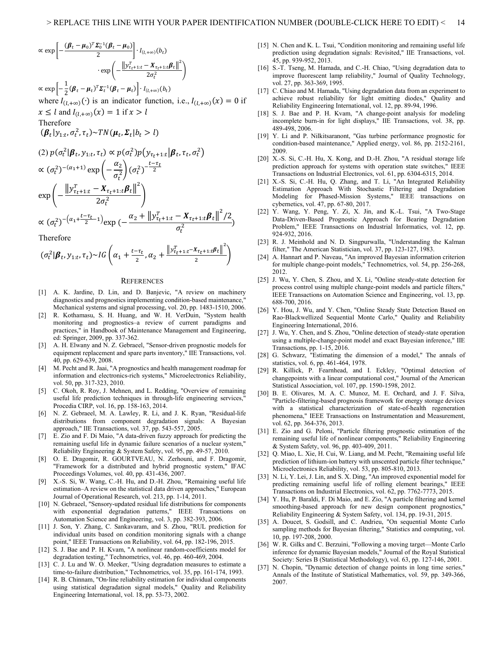$$
\propto \exp\left[-\frac{(\boldsymbol{\beta}_t - \boldsymbol{\mu}_0)^T \boldsymbol{\Sigma}_0^{-1} (\boldsymbol{\beta}_t - \boldsymbol{\mu}_0)}{2}\right] \cdot I_{(l, +\infty)}(b_t) \cdot \exp\left(-\frac{\left\|\boldsymbol{y}_{t_t+1:t}^T - \boldsymbol{X}_{t_t+1:t} \boldsymbol{\beta}_t\right\|^2}{2\sigma_t^2}\right)
$$

 $\propto \exp\left[-\frac{1}{2}(\boldsymbol{\beta}_t - \boldsymbol{\mu}_t)^T \boldsymbol{\Sigma}_t^{-1}(\boldsymbol{\beta}_t - \boldsymbol{\mu}_t)\right] \cdot I_{(l,+\infty)}(b_t)$ where  $I_{(l,+\infty)}(\cdot)$  is an indicator function, i.e.,  $I_{(l,+\infty)}(x) = 0$  if  $x \leq l$  and  $I_{(l,+\infty)}(x) = 1$  if  $x > l$ 

Therefore  $(\boldsymbol{\beta}_t | y_{1:t}, \sigma_t^2, \tau_t) \sim TN(\boldsymbol{\mu}_t, \boldsymbol{\Sigma}_t | b_t > l)$ 

$$
(2) p(\sigma_t^2 | \boldsymbol{\beta}_t, y_{1:t}, \tau_t) \propto p(\sigma_t^2) p(y_{\tau_t+1:t} | \boldsymbol{\beta}_t, \tau_t, \sigma_t^2)
$$
  
\n
$$
\propto (\sigma_t^2)^{-(\alpha_1+1)} \exp\left(-\frac{\alpha_2}{\sigma_t^2}\right) (\sigma_t^2)^{-\frac{t-\tau_t}{2}}
$$
  
\n
$$
\exp\left(-\frac{\left\|y_{\tau_t+1:t}^T - X_{\tau_t+1:t} \boldsymbol{\beta}_t\right\|^2}{2\sigma_t^2}\right)
$$
  
\n
$$
\propto (\sigma_t^2)^{-(\alpha_1+\frac{t-\tau_t}{2}-1)} \exp(-\frac{\alpha_2 + \left\|y_{\tau_t+1:t}^T - X_{\tau_t+1:t} \boldsymbol{\beta}_t\right\|^2/2}{\sigma_t^2})
$$

Therefore

$$
(\sigma_t^2 | \beta_t, y_{1:t}, \tau_t) \sim IG \left( \alpha_1 + \frac{t - \tau_t}{2}, \alpha_2 + \frac{\left\| y_{\tau_t+1:t}^T - X_{\tau_t+1:t} \beta_t \right\|^2}{2} \right)
$$

#### **REFERENCES**

- <span id="page-15-0"></span>[1] A. K. Jardine, D. Lin, and D. Banjevic, "A review on machinery diagnostics and prognostics implementing condition-based maintenance," Mechanical systems and signal processing, vol. 20, pp. 1483-1510, 2006.
- <span id="page-15-1"></span>[2] R. Kothamasu, S. H. Huang, and W. H. VerDuin, "System health monitoring and prognostics–a review of current paradigms and practices," in Handbook of Maintenance Management and Engineering, ed: Springer, 2009, pp. 337-362.
- <span id="page-15-2"></span>[3] A. H. Elwany and N. Z. Gebraeel, "Sensor-driven prognostic models for equipment replacement and spare parts inventory," IIE Transactions, vol. 40, pp. 629-639, 2008.
- <span id="page-15-3"></span>[4] M. Pecht and R. Jaai, "A prognostics and health management roadmap for information and electronics-rich systems," Microelectronics Reliability, vol. 50, pp. 317-323, 2010.
- <span id="page-15-4"></span>[5] C. Okoh, R. Roy, J. Mehnen, and L. Redding, "Overview of remaining useful life prediction techniques in through-life engineering services," Procedia CIRP, vol. 16, pp. 158-163, 2014.
- <span id="page-15-5"></span>[6] N. Z. Gebraeel, M. A. Lawley, R. Li, and J. K. Ryan, "Residual-life distributions from component degradation signals: A Bayesian approach," IIE Transactions, vol. 37, pp. 543-557, 2005.
- <span id="page-15-6"></span>[7] E. Zio and F. Di Maio, "A data-driven fuzzy approach for predicting the remaining useful life in dynamic failure scenarios of a nuclear system," Reliability Engineering & System Safety, vol. 95, pp. 49-57, 2010.
- <span id="page-15-7"></span>[8] O. E. Dragomir, R. GOURTVEAU, N. Zerhouni, and F. Dragomir, "Framework for a distributed and hybrid prognostic system," IFAC Proceedings Volumes, vol. 40, pp. 431-436, 2007.
- <span id="page-15-8"></span>X.-S. Si, W. Wang, C.-H. Hu, and D.-H. Zhou, "Remaining useful life estimation–A review on the statistical data driven approaches," European Journal of Operational Research, vol. 213, pp. 1-14, 2011.
- <span id="page-15-9"></span>[10] N. Gebraeel, "Sensory-updated residual life distributions for components with exponential degradation patterns," IEEE Transactions on Automation Science and Engineering, vol. 3, pp. 382-393, 2006.
- <span id="page-15-10"></span>[11] J. Son, Y. Zhang, C. Sankavaram, and S. Zhou, "RUL prediction for individual units based on condition monitoring signals with a change point," IEEE Transactions on Reliability, vol. 64, pp. 182-196, 2015.
- <span id="page-15-11"></span>[12] S. J. Bae and P. H. Kvam, "A nonlinear random-coefficients model for degradation testing," Technometrics, vol. 46, pp. 460-469, 2004.
- <span id="page-15-12"></span>[13] C. J. Lu and W. O. Meeker, "Using degradation measures to estimate a time-to-failure distribution," Technometrics, vol. 35, pp. 161-174, 1993.
- <span id="page-15-13"></span>[14] R. B. Chinnam, "On-line reliability estimation for individual components using statistical degradation signal models," Quality and Reliability Engineering International, vol. 18, pp. 53-73, 2002.
- <span id="page-15-14"></span>[15] N. Chen and K. L. Tsui, "Condition monitoring and remaining useful life prediction using degradation signals: Revisited," IIE Transactions, vol. 45, pp. 939-952, 2013.
- <span id="page-15-15"></span>[16] S.-T. Tseng, M. Hamada, and C.-H. Chiao, "Using degradation data to improve fluorescent lamp reliability," Journal of Quality Technology, vol. 27, pp. 363-369, 1995.
- <span id="page-15-16"></span>[17] C. Chiao and M. Hamada, "Using degradation data from an experiment to achieve robust reliability for light emitting diodes," Quality and Reliability Engineering International, vol. 12, pp. 89-94, 1996.
- <span id="page-15-17"></span>[18] S. J. Bae and P. H. Kvam, "A change-point analysis for modeling incomplete burn-in for light displays," IIE Transactions, vol. 38, pp. 489-498, 2006.
- <span id="page-15-18"></span>[19] Y. Li and P. Nilkitsaranont, "Gas turbine performance prognostic for condition-based maintenance," Applied energy, vol. 86, pp. 2152-2161, 2009.
- <span id="page-15-19"></span>[20] X.-S. Si, C.-H. Hu, X. Kong, and D.-H. Zhou, "A residual storage life prediction approach for systems with operation state switches," IEEE Transactions on Industrial Electronics, vol. 61, pp. 6304-6315, 2014.
- <span id="page-15-20"></span>[21] X.-S. Si, C.-H. Hu, Q. Zhang, and T. Li, "An Integrated Reliability Estimation Approach With Stochastic Filtering and Degradation Modeling for Phased-Mission Systems," IEEE transactions on cybernetics, vol. 47, pp. 67-80, 2017.
- <span id="page-15-21"></span>[22] Y. Wang, Y. Peng, Y. Zi, X. Jin, and K.-L. Tsui, "A Two-Stage Data-Driven-Based Prognostic Approach for Bearing Degradation Problem," IEEE Transactions on Industrial Informatics, vol. 12, pp. 924-932, 2016.
- <span id="page-15-22"></span>[23] R. J. Meinhold and N. D. Singpurwalla, "Understanding the Kalman filter," The American Statistician, vol. 37, pp. 123-127, 1983.
- <span id="page-15-23"></span>[24] A. Hannart and P. Naveau, "An improved Bayesian information criterion for multiple change-point models," Technometrics, vol. 54, pp. 256-268, 2012.
- <span id="page-15-24"></span>[25] J. Wu, Y. Chen, S. Zhou, and X. Li, "Online steady-state detection for process control using multiple change-point models and particle filters," IEEE Transactions on Automation Science and Engineering, vol. 13, pp. 688-700, 2016.
- [26] Y. Hou, J. Wu, and Y. Chen, "Online Steady State Detection Based on Rao‐Blackwellized Sequential Monte Carlo," Quality and Reliability Engineering International, 2016.
- [27] J. Wu, Y. Chen, and S. Zhou, "Online detection of steady-state operation using a multiple-change-point model and exact Bayesian inference," IIE Transactions, pp. 1-15, 2016.
- <span id="page-15-25"></span>[28] G. Schwarz, "Estimating the dimension of a model," The annals of statistics, vol. 6, pp. 461-464, 1978.
- <span id="page-15-26"></span>[29] R. Killick, P. Fearnhead, and I. Eckley, "Optimal detection of changepoints with a linear computational cost," Journal of the American Statistical Association, vol. 107, pp. 1590-1598, 2012.
- <span id="page-15-27"></span>[30] B. E. Olivares, M. A. C. Munoz, M. E. Orchard, and J. F. Silva, "Particle-filtering-based prognosis framework for energy storage devices with a statistical characterization of state-of-health regeneration phenomena," IEEE Transactions on Instrumentation and Measurement, vol. 62, pp. 364-376, 2013.
- <span id="page-15-28"></span>[31] E. Zio and G. Peloni, "Particle filtering prognostic estimation of the remaining useful life of nonlinear components," Reliability Engineering & System Safety, vol. 96, pp. 403-409, 2011.
- <span id="page-15-29"></span>[32] Q. Miao, L. Xie, H. Cui, W. Liang, and M. Pecht, "Remaining useful life prediction of lithium-ion battery with unscented particle filter technique," Microelectronics Reliability, vol. 53, pp. 805-810, 2013.
- <span id="page-15-30"></span>[33] N. Li, Y. Lei, J. Lin, and S. X. Ding, "An improved exponential model for predicting remaining useful life of rolling element bearings," IEEE Transactions on Industrial Electronics, vol. 62, pp. 7762-7773, 2015.
- <span id="page-15-31"></span>[34] Y. Hu, P. Baraldi, F. Di Maio, and E. Zio, "A particle filtering and kernel smoothing-based approach for new design component prognostics," Reliability Engineering & System Safety, vol. 134, pp. 19-31, 2015.
- <span id="page-15-32"></span>[35] A. Doucet, S. Godsill, and C. Andrieu, "On sequential Monte Carlo sampling methods for Bayesian filtering," Statistics and computing, vol. 10, pp. 197-208, 2000.
- <span id="page-15-33"></span>[36] W. R. Gilks and C. Berzuini, "Following a moving target—Monte Carlo inference for dynamic Bayesian models," Journal of the Royal Statistical Society: Series B (Statistical Methodology), vol. 63, pp. 127-146, 2001.
- <span id="page-15-34"></span>[37] N. Chopin, "Dynamic detection of change points in long time series," Annals of the Institute of Statistical Mathematics, vol. 59, pp. 349-366, 2007.